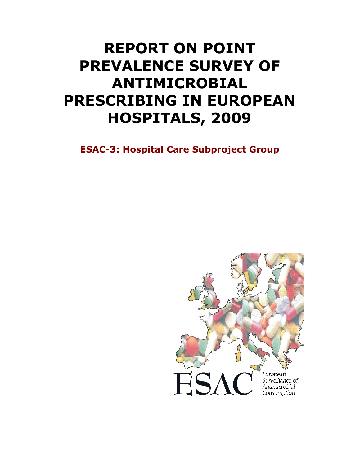# REPORT ON POINT PREVALENCE SURVEY OF ANTIMICROBIAL PRESCRIBING IN EUROPEAN HOSPITALS, 2009

ESAC-3: Hospital Care Subproject Group

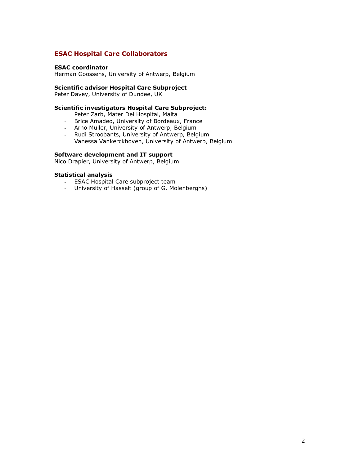# ESAC Hospital Care Collaborators

#### ESAC coordinator

Herman Goossens, University of Antwerp, Belgium

#### Scientific advisor Hospital Care Subproject

Peter Davey, University of Dundee, UK

#### Scientific investigators Hospital Care Subproject:

- Peter Zarb, Mater Dei Hospital, Malta
- Brice Amadeo, University of Bordeaux, France
- Arno Muller, University of Antwerp, Belgium
- Rudi Stroobants, University of Antwerp, Belgium
- Vanessa Vankerckhoven, University of Antwerp, Belgium

#### Software development and IT support

Nico Drapier, University of Antwerp, Belgium

#### Statistical analysis

- ESAC Hospital Care subproject team
- University of Hasselt (group of G. Molenberghs)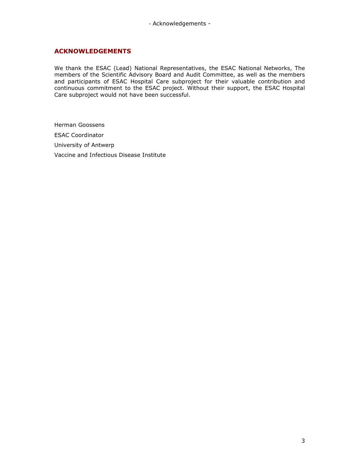## ACKNOWLEDGEMENTS

We thank the ESAC (Lead) National Representatives, the ESAC National Networks, The members of the Scientific Advisory Board and Audit Committee, as well as the members and participants of ESAC Hospital Care subproject for their valuable contribution and continuous commitment to the ESAC project. Without their support, the ESAC Hospital Care subproject would not have been successful.

Herman Goossens ESAC Coordinator University of Antwerp Vaccine and Infectious Disease Institute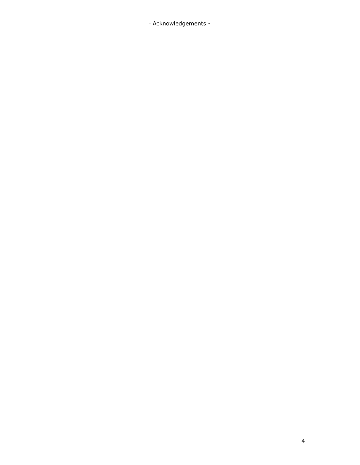- Acknowledgements -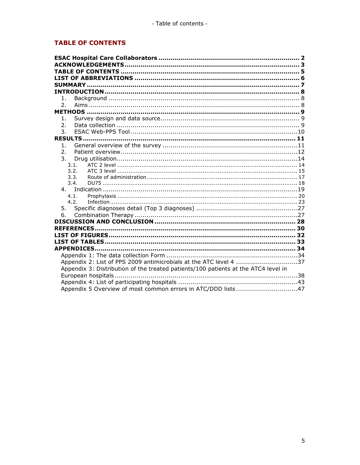# **TABLE OF CONTENTS**

| 1.                                                                                 |  |
|------------------------------------------------------------------------------------|--|
| 2.                                                                                 |  |
|                                                                                    |  |
| 1 <sub>1</sub>                                                                     |  |
| 2.                                                                                 |  |
| 3.                                                                                 |  |
|                                                                                    |  |
| $\mathbf{1}$ .                                                                     |  |
| $\overline{2}$ .                                                                   |  |
| 3.                                                                                 |  |
| 3.1.                                                                               |  |
| 3.2.                                                                               |  |
| 3.3.<br>3.4.                                                                       |  |
|                                                                                    |  |
| 4.1.                                                                               |  |
| 4.2.                                                                               |  |
|                                                                                    |  |
| 6.                                                                                 |  |
|                                                                                    |  |
|                                                                                    |  |
|                                                                                    |  |
|                                                                                    |  |
|                                                                                    |  |
|                                                                                    |  |
| Appendix 2: List of PPS 2009 antimicrobials at the ATC level 4 37                  |  |
| Appendix 3: Distribution of the treated patients/100 patients at the ATC4 level in |  |
|                                                                                    |  |
|                                                                                    |  |
| Appendix 5 Overview of most common errors in ATC/DDD lists47                       |  |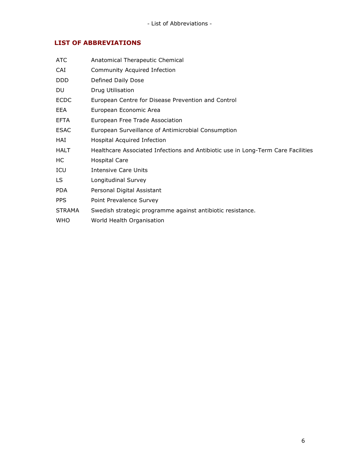# LIST OF ABBREVIATIONS

| ATC           | Anatomical Therapeutic Chemical                                                  |
|---------------|----------------------------------------------------------------------------------|
| CAI           | Community Acquired Infection                                                     |
| DDD.          | Defined Daily Dose                                                               |
| DU.           | Drug Utilisation                                                                 |
| <b>ECDC</b>   | European Centre for Disease Prevention and Control                               |
| <b>EEA</b>    | European Economic Area                                                           |
| EFTA          | European Free Trade Association                                                  |
| <b>ESAC</b>   | European Surveillance of Antimicrobial Consumption                               |
| HAI           | Hospital Acquired Infection                                                      |
| <b>HALT</b>   | Healthcare Associated Infections and Antibiotic use in Long-Term Care Facilities |
| HС            | <b>Hospital Care</b>                                                             |
| ICU           | Intensive Care Units                                                             |
| LS.           | Longitudinal Survey                                                              |
| <b>PDA</b>    | Personal Digital Assistant                                                       |
| <b>PPS</b>    | Point Prevalence Survey                                                          |
| <b>STRAMA</b> | Swedish strategic programme against antibiotic resistance.                       |
| <b>WHO</b>    | World Health Organisation                                                        |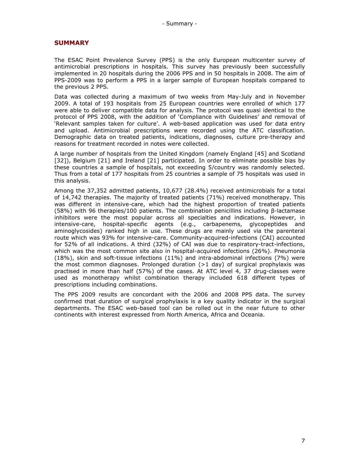#### SUMMARY

The ESAC Point Prevalence Survey (PPS) is the only European multicenter survey of antimicrobial prescriptions in hospitals. This survey has previously been successfully implemented in 20 hospitals during the 2006 PPS and in 50 hospitals in 2008. The aim of PPS-2009 was to perform a PPS in a larger sample of European hospitals compared to the previous 2 PPS.

Data was collected during a maximum of two weeks from May-July and in November 2009. A total of 193 hospitals from 25 European countries were enrolled of which 177 were able to deliver compatible data for analysis. The protocol was quasi identical to the protocol of PPS 2008, with the addition of 'Compliance with Guidelines' and removal of 'Relevant samples taken for culture'. A web-based application was used for data entry and upload. Antimicrobial prescriptions were recorded using the ATC classification. Demographic data on treated patients, indications, diagnoses, culture pre-therapy and reasons for treatment recorded in notes were collected.

A large number of hospitals from the United Kingdom (namely England [45] and Scotland [32]), Belgium [21] and Ireland [21] participated. In order to eliminate possible bias by these countries a sample of hospitals, not exceeding 5/country was randomly selected. Thus from a total of 177 hospitals from 25 countries a sample of 75 hospitals was used in this analysis.

Among the 37,352 admitted patients, 10,677 (28.4%) received antimicrobials for a total of 14,742 therapies. The majority of treated patients (71%) received monotherapy. This was different in intensive-care, which had the highest proportion of treated patients (58%) with 96 therapies/100 patients. The combination penicillins including β-lactamase inhibitors were the most popular across all specialties and indications. However, in intensive-care, hospital-specific agents (e.g., carbapenems, glycopeptides and aminoglycosides) ranked high in use. These drugs are mainly used via the parenteral route which was 93% for intensive-care. Community-acquired-infections (CAI) accounted for 52% of all indications. A third (32%) of CAI was due to respiratory-tract-infections, which was the most common site also in hospital-acquired infections (26%). Pneumonia (18%), skin and soft-tissue infections (11%) and intra-abdominal infections (7%) were the most common diagnoses. Prolonged duration  $(>1$  day) of surgical prophylaxis was practised in more than half (57%) of the cases. At ATC level 4, 37 drug-classes were used as monotherapy whilst combination therapy included 618 different types of prescriptions including combinations.

The PPS 2009 results are concordant with the 2006 and 2008 PPS data. The survey confirmed that duration of surgical prophylaxis is a key quality indicator in the surgical departments. The ESAC web-based tool can be rolled out in the near future to other continents with interest expressed from North America, Africa and Oceania.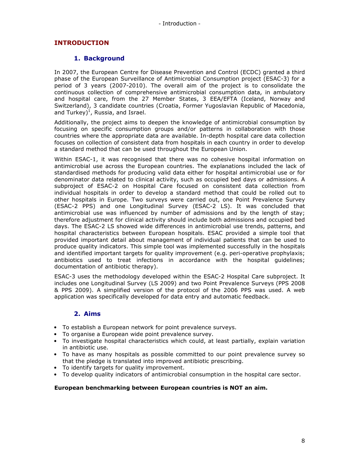# INTRODUCTION

# 1. Background

In 2007, the European Centre for Disease Prevention and Control (ECDC) granted a third phase of the European Surveillance of Antimicrobial Consumption project (ESAC-3) for a period of 3 years (2007-2010). The overall aim of the project is to consolidate the continuous collection of comprehensive antimicrobial consumption data, in ambulatory and hospital care, from the 27 Member States, 3 EEA/EFTA (Iceland, Norway and Switzerland), 3 candidate countries (Croatia, Former Yugoslavian Republic of Macedonia, and Turkey) $<sup>1</sup>$ , Russia, and Israel.</sup>

Additionally, the project aims to deepen the knowledge of antimicrobial consumption by focusing on specific consumption groups and/or patterns in collaboration with those countries where the appropriate data are available. In-depth hospital care data collection focuses on collection of consistent data from hospitals in each country in order to develop a standard method that can be used throughout the European Union.

Within ESAC-1, it was recognised that there was no cohesive hospital information on antimicrobial use across the European countries. The explanations included the lack of standardised methods for producing valid data either for hospital antimicrobial use or for denominator data related to clinical activity, such as occupied bed days or admissions. A subproject of ESAC-2 on Hospital Care focused on consistent data collection from individual hospitals in order to develop a standard method that could be rolled out to other hospitals in Europe. Two surveys were carried out, one Point Prevalence Survey (ESAC-2 PPS) and one Longitudinal Survey (ESAC-2 LS). It was concluded that antimicrobial use was influenced by number of admissions and by the length of stay; therefore adjustment for clinical activity should include both admissions and occupied bed days. The ESAC-2 LS showed wide differences in antimicrobial use trends, patterns, and hospital characteristics between European hospitals. ESAC provided a simple tool that provided important detail about management of individual patients that can be used to produce quality indicators. This simple tool was implemented successfully in the hospitals and identified important targets for quality improvement (e.g. peri-operative prophylaxis; antibiotics used to treat infections in accordance with the hospital guidelines; documentation of antibiotic therapy).

ESAC-3 uses the methodology developed within the ESAC-2 Hospital Care subproject. It includes one Longitudinal Survey (LS 2009) and two Point Prevalence Surveys (PPS 2008 & PPS 2009). A simplified version of the protocol of the 2006 PPS was used. A web application was specifically developed for data entry and automatic feedback.

# 2. Aims

- To establish a European network for point prevalence surveys.
- To organise a European wide point prevalence survey.
- To investigate hospital characteristics which could, at least partially, explain variation in antibiotic use.
- To have as many hospitals as possible committed to our point prevalence survey so that the pledge is translated into improved antibiotic prescribing.
- To identify targets for quality improvement.
- To develop quality indicators of antimicrobial consumption in the hospital care sector.

#### European benchmarking between European countries is NOT an aim.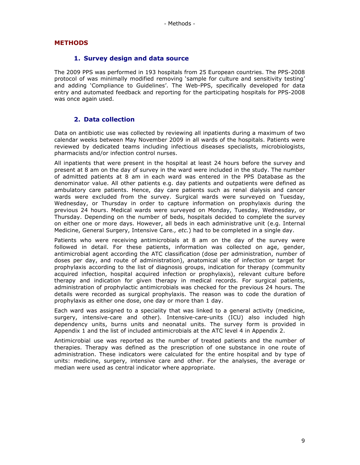# **METHODS**

#### 1. Survey design and data source

The 2009 PPS was performed in 193 hospitals from 25 European countries. The PPS-2008 protocol of was minimally modified removing 'sample for culture and sensitivity testing' and adding 'Compliance to Guidelines'. The Web-PPS, specifically developed for data entry and automated feedback and reporting for the participating hospitals for PPS-2008 was once again used.

## 2. Data collection

Data on antibiotic use was collected by reviewing all inpatients during a maximum of two calendar weeks between May November 2009 in all wards of the hospitals. Patients were reviewed by dedicated teams including infectious diseases specialists, microbiologists, pharmacists and/or infection control nurses.

All inpatients that were present in the hospital at least 24 hours before the survey and present at 8 am on the day of survey in the ward were included in the study. The number of admitted patients at 8 am in each ward was entered in the PPS Database as the denominator value. All other patients e.g. day patients and outpatients were defined as ambulatory care patients. Hence, day care patients such as renal dialysis and cancer wards were excluded from the survey. Surgical wards were surveyed on Tuesday, Wednesday, or Thursday in order to capture information on prophylaxis during the previous 24 hours. Medical wards were surveyed on Monday, Tuesday, Wednesday, or Thursday. Depending on the number of beds, hospitals decided to complete the survey on either one or more days. However, all beds in each administrative unit (e.g. Internal Medicine, General Surgery, Intensive Care., etc.) had to be completed in a single day.

Patients who were receiving antimicrobials at 8 am on the day of the survey were followed in detail. For these patients, information was collected on age, gender, antimicrobial agent according the ATC classification (dose per administration, number of doses per day, and route of administration), anatomical site of infection or target for prophylaxis according to the list of diagnosis groups, indication for therapy (community acquired infection, hospital acquired infection or prophylaxis), relevant culture before therapy and indication for given therapy in medical records. For surgical patients, administration of prophylactic antimicrobials was checked for the previous 24 hours. The details were recorded as surgical prophylaxis. The reason was to code the duration of prophylaxis as either one dose, one day or more than 1 day.

Each ward was assigned to a speciality that was linked to a general activity (medicine, surgery, intensive-care and other). Intensive-care-units (ICU) also included high dependency units, burns units and neonatal units. The survey form is provided in Appendix 1 and the list of included antimicrobials at the ATC level 4 in Appendix 2.

Antimicrobial use was reported as the number of treated patients and the number of therapies. Therapy was defined as the prescription of one substance in one route of administration. These indicators were calculated for the entire hospital and by type of units: medicine, surgery, intensive care and other. For the analyses, the average or median were used as central indicator where appropriate.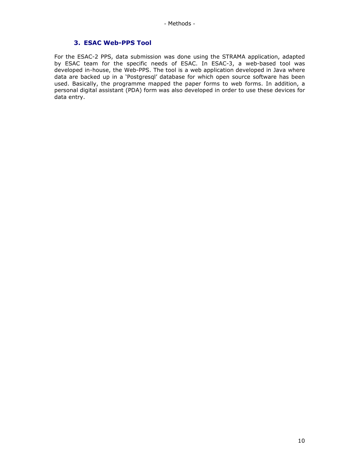#### 3. ESAC Web-PPS Tool

For the ESAC-2 PPS, data submission was done using the STRAMA application, adapted by ESAC team for the specific needs of ESAC. In ESAC-3, a web-based tool was developed in-house, the Web-PPS. The tool is a web application developed in Java where data are backed up in a 'Postgresql' database for which open source software has been used. Basically, the programme mapped the paper forms to web forms. In addition, a personal digital assistant (PDA) form was also developed in order to use these devices for data entry.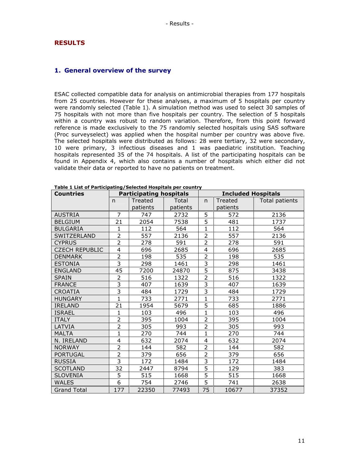#### **RESULTS**

#### 1. General overview of the survey

ESAC collected compatible data for analysis on antimicrobial therapies from 177 hospitals from 25 countries. However for these analyses, a maximum of 5 hospitals per country were randomly selected (Table 1). A simulation method was used to select 30 samples of 75 hospitals with not more than five hospitals per country. The selection of 5 hospitals within a country was robust to random variation. Therefore, from this point forward reference is made exclusively to the 75 randomly selected hospitals using SAS software (Proc surveyselect) was applied when the hospital number per country was above five. The selected hospitals were distributed as follows: 28 were tertiary, 32 were secondary, 10 were primary, 3 infectious diseases and 1 was paediatric institution. Teaching hospitals represented 35 of the 74 hospitals. A list of the participating hospitals can be found in Appendix 4, which also contains a number of hospitals which either did not validate their data or reported to have no patients on treatment.

| <b>Countries</b>      |                         | <b>Participating hospitals</b> |          |                         | <b>Included Hospitals</b> |                |  |  |
|-----------------------|-------------------------|--------------------------------|----------|-------------------------|---------------------------|----------------|--|--|
|                       | $\mathsf{n}$            | Treated                        | Total    | $\mathsf{n}$            | Treated                   | Total patients |  |  |
|                       |                         | patients                       | patients |                         | patients                  |                |  |  |
| <b>AUSTRIA</b>        | $\overline{7}$          | 747                            | 2732     | 5                       | 572                       | 2136           |  |  |
| <b>BELGIUM</b>        | 21                      | 2054                           | 7538     | 5                       | 481                       | 1737           |  |  |
| <b>BULGARIA</b>       | 1                       | 112                            | 564      | $\mathbf 1$             | 112                       | 564            |  |  |
| SWITZERLAND           | $\overline{2}$          | 557                            | 2136     | $\overline{2}$          | 557                       | 2136           |  |  |
| <b>CYPRUS</b>         | $\overline{2}$          | 278                            | 591      | $\overline{2}$          | 278                       | 591            |  |  |
| <b>CZECH REPUBLIC</b> | 4                       | 696                            | 2685     | 4                       | 696                       | 2685           |  |  |
| <b>DENMARK</b>        | $\overline{2}$          | 198                            | 535      | 2                       | 198                       | 535            |  |  |
| <b>ESTONIA</b>        | $\overline{\mathbf{3}}$ | 298                            | 1461     | $\overline{\mathbf{3}}$ | 298                       | 1461           |  |  |
| <b>ENGLAND</b>        | 45                      | 7200                           | 24870    | 5                       | 875                       | 3438           |  |  |
| <b>SPAIN</b>          | $\overline{2}$          | 516                            | 1322     | $\overline{2}$          | 516                       | 1322           |  |  |
| <b>FRANCE</b>         | $\overline{3}$          | 407                            | 1639     | 3                       | 407                       | 1639           |  |  |
| <b>CROATIA</b>        | $\overline{3}$          | 484                            | 1729     | 3                       | 484                       | 1729           |  |  |
| <b>HUNGARY</b>        | $\mathbf{1}$            | 733                            | 2771     | $\mathbf{1}$            | 733                       | 2771           |  |  |
| <b>IRELAND</b>        | 21                      | 1954                           | 5679     | 5                       | 685                       | 1886           |  |  |
| <b>ISRAEL</b>         | $\mathbf{1}$            | 103                            | 496      | $\mathbf{1}$            | 103                       | 496            |  |  |
| <b>ITALY</b>          | $\overline{2}$          | 395                            | 1004     | $\overline{2}$          | 395                       | 1004           |  |  |
| LATVIA                | $\overline{2}$          | 305                            | 993      | $\overline{2}$          | 305                       | 993            |  |  |
| <b>MALTA</b>          | $\mathbf{1}$            | 270                            | 744      | $\mathbf{1}$            | 270                       | 744            |  |  |
| N. IRELAND            | 4                       | 632                            | 2074     | 4                       | 632                       | 2074           |  |  |
| <b>NORWAY</b>         | $\overline{2}$          | 144                            | 582      | $\overline{2}$          | 144                       | 582            |  |  |
| <b>PORTUGAL</b>       | $\overline{2}$          | 379                            | 656      | $\overline{2}$          | 379                       | 656            |  |  |
| <b>RUSSIA</b>         | $\overline{3}$          | 172                            | 1484     | $\overline{3}$          | 172                       | 1484           |  |  |
| <b>SCOTLAND</b>       | 32                      | 2447                           | 8794     | 5                       | 129                       | 383            |  |  |
| <b>SLOVENIA</b>       | 5                       | 515                            | 1668     | 5                       | 515                       | 1668           |  |  |
| <b>WALES</b>          | $\overline{6}$          | 754                            | 2746     | $\overline{5}$          | 741                       | 2638           |  |  |
| <b>Grand Total</b>    | 177                     | 22350                          | 77493    | 75                      | 10677                     | 37352          |  |  |

Table 1 List of Participating/Selected Hospitals per country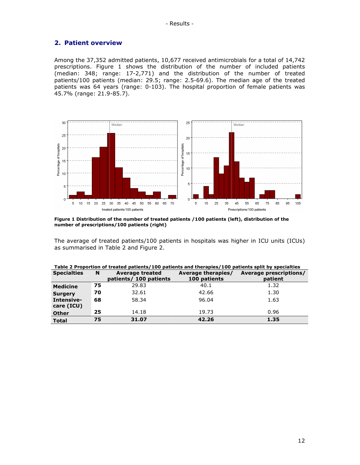# 2. Patient overview

Among the 37,352 admitted patients, 10,677 received antimicrobials for a total of 14,742 prescriptions. Figure 1 shows the distribution of the number of included patients (median: 348; range: 17-2,771) and the distribution of the number of treated patients/100 patients (median: 29.5; range: 2.5-69.6). The median age of the treated patients was 64 years (range: 0-103). The hospital proportion of female patients was 45.7% (range: 21.9-85.7).



Figure 1 Distribution of the number of treated patients /100 patients (left), distribution of the number of prescriptions/100 patients (right)

The average of treated patients/100 patients in hospitals was higher in ICU units (ICUs) as summarised in Table 2 and Figure 2.

| <b>Specialties</b>       | N  | <b>Average treated</b><br>patients/ 100 patients | Average therapies/<br>100 patients | Average prescriptions/<br>patient |
|--------------------------|----|--------------------------------------------------|------------------------------------|-----------------------------------|
| <b>Medicine</b>          | 75 | 29.83                                            | 40.1                               | 1.32                              |
| <b>Surgery</b>           | 70 | 32.61                                            | 42.66                              | 1.30                              |
| Intensive-<br>care (ICU) | 68 | 58.34                                            | 96.04                              | 1.63                              |
| <b>Other</b>             | 25 | 14.18                                            | 19.73                              | 0.96                              |
| <b>Total</b>             | 75 | 31.07                                            | 42.26                              | 1.35                              |

|  |  |  |  | Table 2 Proportion of treated patients/100 patients and therapies/100 patients split by specialties |
|--|--|--|--|-----------------------------------------------------------------------------------------------------|
|--|--|--|--|-----------------------------------------------------------------------------------------------------|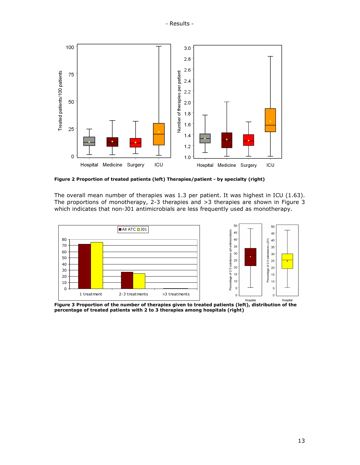

Figure 2 Proportion of treated patients (left) Therapies/patient - by specialty (right)

The overall mean number of therapies was 1.3 per patient. It was highest in ICU (1.63). The proportions of monotherapy, 2-3 therapies and >3 therapies are shown in Figure 3 which indicates that non-J01 antimicrobials are less frequently used as monotherapy.



percentage of treated patients with 2 to 3 therapies among hospitals (right)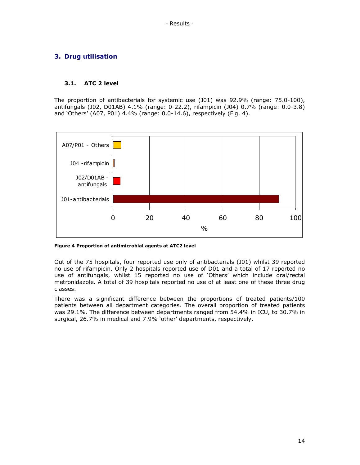# 3. Drug utilisation

#### 3.1. ATC 2 level

The proportion of antibacterials for systemic use (J01) was 92.9% (range: 75.0-100), antifungals (J02, D01AB) 4.1% (range: 0-22.2), rifampicin (J04) 0.7% (range: 0.0-3.8) and 'Others' (A07, P01) 4.4% (range: 0.0-14.6), respectively (Fig. 4).



Figure 4 Proportion of antimicrobial agents at ATC2 level

Out of the 75 hospitals, four reported use only of antibacterials (J01) whilst 39 reported no use of rifampicin. Only 2 hospitals reported use of D01 and a total of 17 reported no use of antifungals, whilst 15 reported no use of 'Others' which include oral/rectal metronidazole. A total of 39 hospitals reported no use of at least one of these three drug classes.

There was a significant difference between the proportions of treated patients/100 patients between all department categories. The overall proportion of treated patients was 29.1%. The difference between departments ranged from 54.4% in ICU, to 30.7% in surgical, 26.7% in medical and 7.9% 'other' departments, respectively.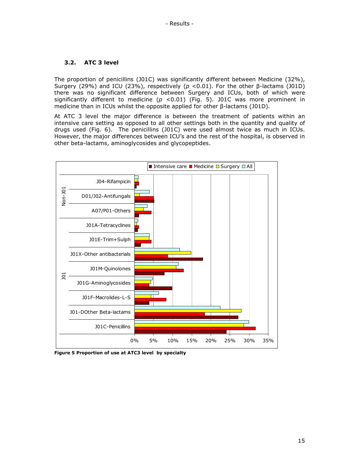#### 3.2. ATC 3 level

The proportion of penicillins (J01C) was significantly different between Medicine (32%), Surgery (29%) and ICU (23%), respectively ( $p$  <0.01). For the other β-lactams (J01D) there was no significant difference between Surgery and ICUs, both of which were significantly different to medicine ( $p$  <0.01) (Fig. 5). J01C was more prominent in medicine than in ICUs whilst the opposite applied for other β-lactams (J01D).

At ATC 3 level the major difference is between the treatment of patients within an intensive care setting as opposed to all other settings both in the quantity and quality of drugs used (Fig. 6). The penicillins (J01C) were used almost twice as much in ICUs. However, the major differences between ICU's and the rest of the hospital, is observed in other beta-lactams, aminoglycosides and glycopeptides.



Figure 5 Proportion of use at ATC3 level by specialty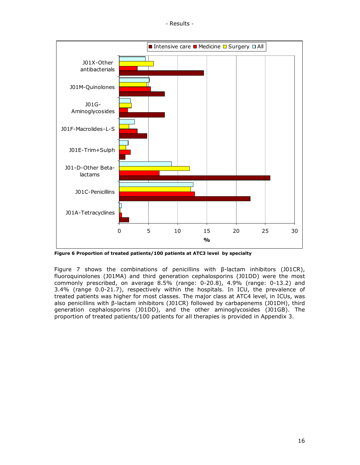

Figure 6 Proportion of treated patients/100 patients at ATC3 level by specialty

Figure 7 shows the combinations of penicillins with β-lactam inhibitors (J01CR), fluoroquinolones (J01MA) and third generation cephalosporins (J01DD) were the most commonly prescribed, on average 8.5% (range: 0-20.8), 4.9% (range: 0-13.2) and 3.4% (range 0.0-21.7), respectively within the hospitals. In ICU, the prevalence of treated patients was higher for most classes. The major class at ATC4 level, in ICUs, was also penicillins with β-lactam inhibitors (J01CR) followed by carbapenems (J01DH), third generation cephalosporins (J01DD), and the other aminoglycosides (J01GB). The proportion of treated patients/100 patients for all therapies is provided in Appendix 3.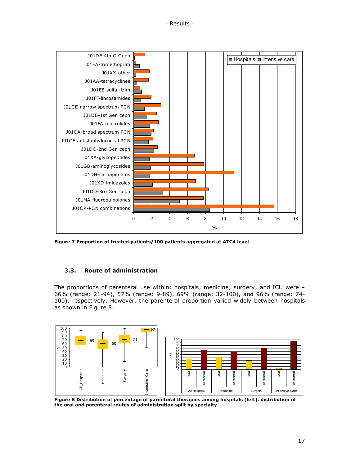

Figure 7 Proportion of treated patients/100 patients aggregated at ATC4 level

# 3.3. Route of administration

The proportions of parenteral use within: hospitals; medicine; surgery; and ICU were – 66% (range: 21-94), 57% (range: 9-89), 69% (range: 32-100), and 96% (range: 74- 100), respectively. However, the parenteral proportion varied widely between hospitals as shown in Figure 8.



 Figure 8 Distribution of percentage of parenteral therapies among hospitals (left), distribution of the oral and parenteral routes of administration split by specialty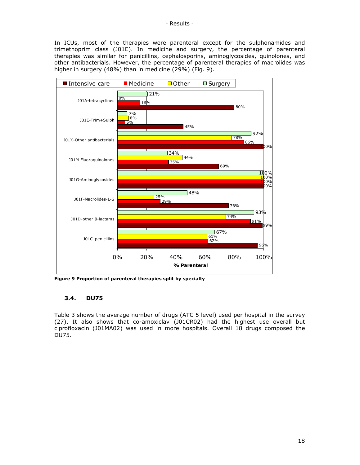In ICUs, most of the therapies were parenteral except for the sulphonamides and trimethoprim class (J01E). In medicine and surgery, the percentage of parenteral therapies was similar for penicillins, cephalosporins, aminoglycosides, quinolones, and other antibacterials. However, the percentage of parenteral therapies of macrolides was higher in surgery (48%) than in medicine (29%) (Fig. 9).



Figure 9 Proportion of parenteral therapies split by specialty

#### 3.4. DU75

Table 3 shows the average number of drugs (ATC 5 level) used per hospital in the survey (27). It also shows that co-amoxiclav (J01CR02) had the highest use overall but ciprofloxacin (J01MA02) was used in more hospitals. Overall 18 drugs composed the DU75.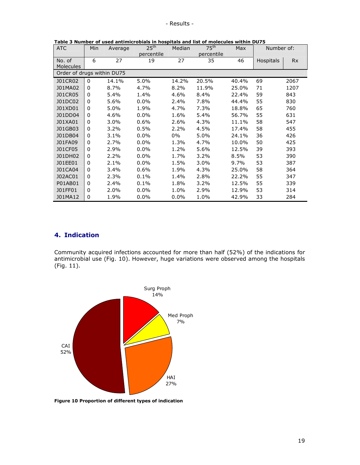| <b>ATC</b>                 | Min      | Average | $25^{\sf th}$ | Median | 75 <sup>th</sup> | Max   | Number of: |           |
|----------------------------|----------|---------|---------------|--------|------------------|-------|------------|-----------|
|                            |          |         | percentile    |        | percentile       |       |            |           |
| No. of                     | 6        | 27      | 19            | 27     | 35               | 46    | Hospitals  | <b>Rx</b> |
| <b>Molecules</b>           |          |         |               |        |                  |       |            |           |
| Order of drugs within DU75 |          |         |               |        |                  |       |            |           |
| J01CR02                    | $\Omega$ | 14.1%   | 5.0%          | 14.2%  | 20.5%            | 40.4% | 69         | 2067      |
| J01MA02                    | 0        | 8.7%    | 4.7%          | 8.2%   | 11.9%            | 25.0% | 71         | 1207      |
| <b>J01CR05</b>             | 0        | 5.4%    | 1.4%          | 4.6%   | 8.4%             | 22.4% | 59         | 843       |
| J01DC02                    | $\Omega$ | 5.6%    | $0.0\%$       | 2.4%   | 7.8%             | 44.4% | 55         | 830       |
| J01XD01                    | 0        | 5.0%    | 1.9%          | 4.7%   | 7.3%             | 18.8% | 65         | 760       |
| J01DD04                    | 0        | 4.6%    | $0.0\%$       | 1.6%   | 5.4%             | 56.7% | 55         | 631       |
| J01XA01                    | $\Omega$ | 3.0%    | 0.6%          | 2.6%   | 4.3%             | 11.1% | 58         | 547       |
| J01GB03                    | 0        | 3.2%    | 0.5%          | 2.2%   | 4.5%             | 17.4% | 58         | 455       |
| J01DB04                    | 0        | 3.1%    | $0.0\%$       | $0\%$  | 5.0%             | 24.1% | 36         | 426       |
| J01FA09                    | 0        | 2.7%    | $0.0\%$       | 1.3%   | 4.7%             | 10.0% | 50         | 425       |
| J01CF05                    | 0        | 2.9%    | $0.0\%$       | 1.2%   | 5.6%             | 12.5% | 39         | 393       |
| J01DH02                    | 0        | 2.2%    | $0.0\%$       | 1.7%   | 3.2%             | 8.5%  | 53         | 390       |
| J01EE01                    | 0        | 2.1%    | $0.0\%$       | 1.5%   | 3.0%             | 9.7%  | 53         | 387       |
| J01CA04                    | $\Omega$ | 3.4%    | 0.6%          | 1.9%   | 4.3%             | 25.0% | 58         | 364       |
| J02AC01                    | 0        | 2.3%    | 0.1%          | 1.4%   | 2.8%             | 22.2% | 55         | 347       |
| P01AB01                    | 0        | 2.4%    | 0.1%          | 1.8%   | 3.2%             | 12.5% | 55         | 339       |
| J01FF01                    | 0        | 2.0%    | $0.0\%$       | 1.0%   | 2.9%             | 12.9% | 53         | 314       |
| J01MA12                    | 0        | 1.9%    | $0.0\%$       | 0.0%   | 1.0%             | 42.9% | 33         | 284       |

Table 3 Number of used antimicrobials in hospitals and list of molecules within DU75

## 4. Indication

Community acquired infections accounted for more than half (52%) of the indications for antimicrobial use (Fig. 10). However, huge variations were observed among the hospitals (Fig. 11).



Figure 10 Proportion of different types of indication

┓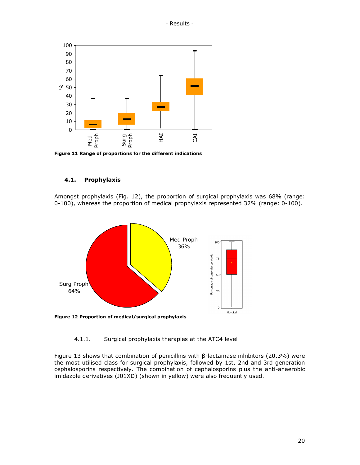

Figure 11 Range of proportions for the different indications

#### 4.1. Prophylaxis

Amongst prophylaxis (Fig. 12), the proportion of surgical prophylaxis was 68% (range: 0-100), whereas the proportion of medical prophylaxis represented 32% (range: 0-100).



4.1.1. Surgical prophylaxis therapies at the ATC4 level

Figure 13 shows that combination of penicillins with β-lactamase inhibitors (20.3%) were the most utilised class for surgical prophylaxis, followed by 1st, 2nd and 3rd generation cephalosporins respectively. The combination of cephalosporins plus the anti-anaerobic imidazole derivatives (J01XD) (shown in yellow) were also frequently used.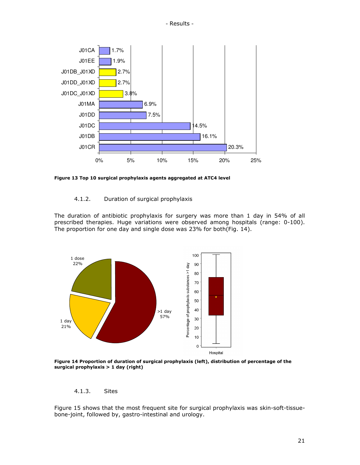

Figure 13 Top 10 surgical prophylaxis agents aggregated at ATC4 level

#### 4.1.2. Duration of surgical prophylaxis

The duration of antibiotic prophylaxis for surgery was more than 1 day in 54% of all prescribed therapies. Huge variations were observed among hospitals (range: 0-100). The proportion for one day and single dose was 23% for both(Fig. 14).



Figure 14 Proportion of duration of surgical prophylaxis (left), distribution of percentage of the surgical prophylaxis > 1 day (right)

### 4.1.3. Sites

Figure 15 shows that the most frequent site for surgical prophylaxis was skin-soft-tissuebone-joint, followed by, gastro-intestinal and urology.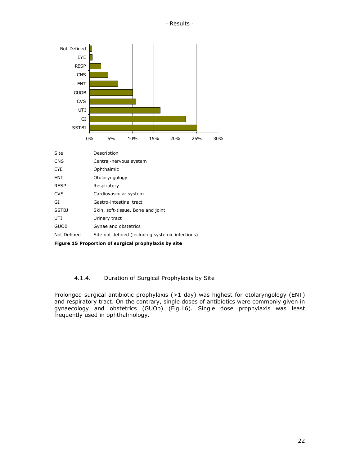

Figure 15 Proportion of surgical prophylaxis by site

#### 4.1.4. Duration of Surgical Prophylaxis by Site

Prolonged surgical antibiotic prophylaxis (>1 day) was highest for otolaryngology (ENT) and respiratory tract. On the contrary, single doses of antibiotics were commonly given in gynaecology and obstetrics (GUOb) (Fig.16). Single dose prophylaxis was least frequently used in ophthalmology.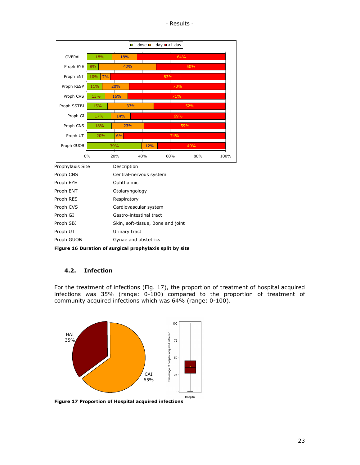- Results -

|                                                               |           |                                   | $\blacksquare$ 1 dose $\blacksquare$ 1 day $\blacksquare$ >1 day |     |             |
|---------------------------------------------------------------|-----------|-----------------------------------|------------------------------------------------------------------|-----|-------------|
| <b>OVERALL</b>                                                | 18%       | 18%                               |                                                                  | 64% |             |
| Proph EYE                                                     | 8%        | 42%                               |                                                                  | 50% |             |
| Proph ENT                                                     | 10%<br>7% |                                   | 83%                                                              |     |             |
| Proph RESP                                                    | 11%       | 20%                               |                                                                  | 70% |             |
| Proph CVS                                                     | 13%       | 16%                               |                                                                  | 71% |             |
| Proph SSTBJ                                                   | 15%       | 33%                               |                                                                  | 52% |             |
| Proph GI                                                      | 17%       | 14%                               |                                                                  | 69% |             |
| Proph CNS                                                     | 18%       | 23%                               |                                                                  | 59% |             |
| Proph UT                                                      | 20%       | 6%                                |                                                                  | 74% |             |
|                                                               |           |                                   |                                                                  |     |             |
| Proph GUOB                                                    |           | 39%                               | 12%                                                              | 49% |             |
|                                                               | 0%        | 20%                               | 40%                                                              | 60% | 80%<br>100% |
| Prophylaxis Site                                              |           | Description                       |                                                                  |     |             |
|                                                               |           | Central-nervous system            |                                                                  |     |             |
|                                                               |           | Ophthalmic                        |                                                                  |     |             |
|                                                               |           | Otolaryngology                    |                                                                  |     |             |
|                                                               |           | Respiratory                       |                                                                  |     |             |
| Proph CNS<br>Proph EYE<br>Proph ENT<br>Proph RES<br>Proph CVS |           | Cardiovascular system             |                                                                  |     |             |
| Proph GI                                                      |           | Gastro-intestinal tract           |                                                                  |     |             |
| Proph SBJ                                                     |           | Skin, soft-tissue, Bone and joint |                                                                  |     |             |
| Proph UT                                                      |           | Urinary tract                     |                                                                  |     |             |

Figure 16 Duration of surgical prophylaxis split by site

#### 4.2. Infection

For the treatment of infections (Fig. 17), the proportion of treatment of hospital acquired infections was 35% (range: 0-100) compared to the proportion of treatment of community acquired infections which was 64% (range: 0-100).



Figure 17 Proportion of Hospital acquired infections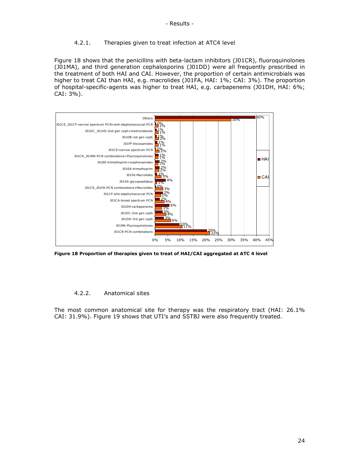#### 4.2.1. Therapies given to treat infection at ATC4 level

Figure 18 shows that the penicillins with beta-lactam inhibitors (J01CR), fluoroquinolones (J01MA), and third generation cephalosporins (J01DD) were all frequently prescribed in the treatment of both HAI and CAI. However, the proportion of certain antimicrobials was higher to treat CAI than HAI, e.g. macrolides (J01FA, HAI: 1%; CAI: 3%). The proportion of hospital-specific-agents was higher to treat HAI, e.g. carbapenems (J01DH, HAI: 6%; CAI: 3%).



Figure 18 Proportion of therapies given to treat of HAI/CAI aggregated at ATC 4 level

#### 4.2.2. Anatomical sites

The most common anatomical site for therapy was the respiratory tract (HAI: 26.1% CAI: 31.9%). Figure 19 shows that UTI's and SSTBJ were also frequently treated.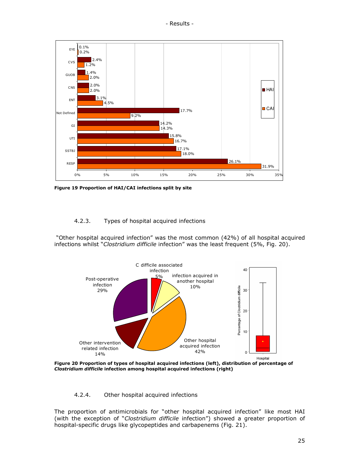

Figure 19 Proportion of HAI/CAI infections split by site

#### 4.2.3. Types of hospital acquired infections

 "Other hospital acquired infection" was the most common (42%) of all hospital acquired infections whilst "Clostridium difficile infection" was the least frequent (5%, Fig. 20).



 Figure 20 Proportion of types of hospital acquired infections (left), distribution of percentage of Clostridium difficile infection among hospital acquired infections (right)

#### 4.2.4. Other hospital acquired infections

The proportion of antimicrobials for "other hospital acquired infection" like most HAI (with the exception of "Clostridium difficile infection") showed a greater proportion of hospital-specific drugs like glycopeptides and carbapenems (Fig. 21).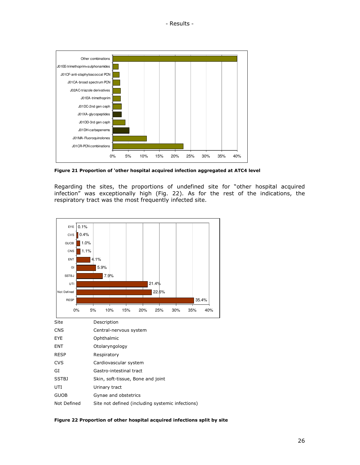

Figure 21 Proportion of 'other hospital acquired infection aggregated at ATC4 level

Regarding the sites, the proportions of undefined site for "other hospital acquired infection" was exceptionally high (Fig. 22). As for the rest of the indications, the respiratory tract was the most frequently infected site.



Figure 22 Proportion of other hospital acquired infections split by site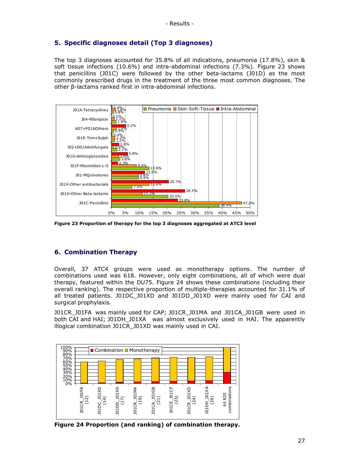# 5. Specific diagnoses detail (Top 3 diagnoses)

The top 3 diagnoses accounted for 35.8% of all indications, pneumonia (17.8%), skin & soft tissue infections (10.6%) and intra-abdominal infections (7.3%). Figure 23 shows that penicillins (J01C) were followed by the other beta-lactams (J01D) as the most commonly prescribed drugs in the treatment of the three most common diagnoses. The other β-lactams ranked first in intra-abdominal infections.



Figure 23 Proportion of therapy for the top 3 diagnoses aggregated at ATC3 level

#### 6. Combination Therapy

Overall, 37 ATC4 groups were used as monotherapy options. The number of combinations used was 618. However, only eight combinations, all of which were dual therapy, featured within the DU75. Figure 24 shows these combinations (including their overall ranking). The respective proportion of multiple-therapies accounted for 31.1% of all treated patients. J01DC\_J01XD and J01DD\_J01XD were mainly used for CAI and surgical prophylaxis.

J01CR\_J01FA was mainly used for CAP; J01CR\_J01MA and J01CA\_J01GB were used in both CAI and HAI; J01DH\_J01XA was almost exclusively used in HAI. The apparently illogical combination J01CR\_J01XD was mainly used in CAI.



Figure 24 Proportion (and ranking) of combination therapy.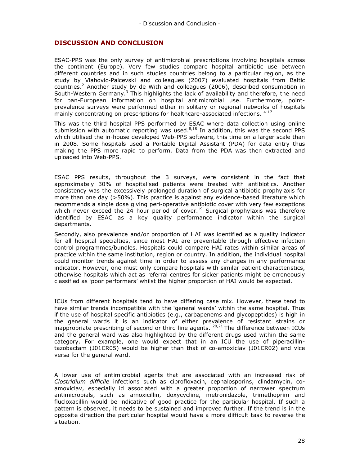- Discussion and Conclusion -

## DISCUSSION AND CONCLUSION

ESAC-PPS was the only survey of antimicrobial prescriptions involving hospitals across the continent (Europe). Very few studies compare hospital antibiotic use between different countries and in such studies countries belong to a particular region, as the study by Vlahovic-Palcevski and colleagues (2007) evaluated hospitals from Baltic countries.<sup>2</sup> Another study by de With and colleagues (2006), described consumption in South-Western Germany.<sup>3</sup> This highlights the lack of availability and therefore, the need for pan-European information on hospital antimicrobial use. Furthermore, pointprevalence surveys were performed either in solitary or regional networks of hospitals mainly concentrating on prescriptions for healthcare-associated infections.  $4-17$ 

This was the third hospital PPS performed by ESAC where data collection using online submission with automatic reporting was used.<sup>8,18</sup> In addition, this was the second PPS which utilised the in-house developed Web-PPS software, this time on a larger scale than in 2008. Some hospitals used a Portable Digital Assistant (PDA) for data entry thus making the PPS more rapid to perform. Data from the PDA was then extracted and uploaded into Web-PPS.

ESAC PPS results, throughout the 3 surveys, were consistent in the fact that approximately 30% of hospitalised patients were treated with antibiotics. Another consistency was the excessively prolonged duration of surgical antibiotic prophylaxis for more than one day (>50%). This practice is against any evidence-based literature which recommends a single dose giving peri-operative antibiotic cover with very few exceptions which never exceed the 24 hour period of cover.<sup>19</sup> Surgical prophylaxis was therefore identified by ESAC as a key quality performance indicator within the surgical departments.

Secondly, also prevalence and/or proportion of HAI was identified as a quality indicator for all hospital specialties, since most HAI are preventable through effective infection control programmes/bundles. Hospitals could compare HAI rates within similar areas of practice within the same institution, region or country. In addition, the individual hospital could monitor trends against time in order to assess any changes in any performance indicator. However, one must only compare hospitals with similar patient characteristics, otherwise hospitals which act as referral centres for sicker patients might be erroneously classified as 'poor performers' whilst the higher proportion of HAI would be expected.

ICUs from different hospitals tend to have differing case mix. However, these tend to have similar trends incompatible with the 'general wards' within the same hospital. Thus if the use of hospital specific antibiotics (e.g., carbapenems and glycopeptides) is high in the general wards it is an indicator of either prevalence of resistant strains or inappropriate prescribing of second or third line agents.  $20,21$  The difference between ICUs and the general ward was also highlighted by the different drugs used within the same category. For example, one would expect that in an ICU the use of piperacillintazobactam (J01CR05) would be higher than that of co-amoxiclav (J01CR02) and vice versa for the general ward.

A lower use of antimicrobial agents that are associated with an increased risk of Clostridium difficile infections such as ciprofloxacin, cephalosporins, clindamycin, coamoxiclav, especially id associated with a greater proportion of narrower spectrum antimicrobials, such as amoxicillin, doxycycline, metronidazole, trimethoprim and flucloxacillin would be indicative of good practice for the particular hospital. If such a pattern is observed, it needs to be sustained and improved further. If the trend is in the opposite direction the particular hospital would have a more difficult task to reverse the situation.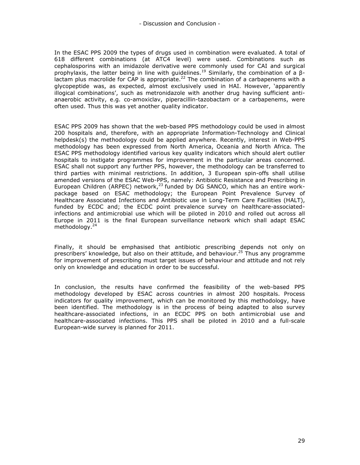- Discussion and Conclusion -

In the ESAC PPS 2009 the types of drugs used in combination were evaluated. A total of 618 different combinations (at ATC4 level) were used. Combinations such as cephalosporins with an imidazole derivative were commonly used for CAI and surgical prophylaxis, the latter being in line with quidelines.<sup>19</sup> Similarly, the combination of a β- $\frac{1}{2}$  lactam plus macrolide for CAP is appropriate.<sup>22</sup> The combination of a carbapenems with a glycopeptide was, as expected, almost exclusively used in HAI. However, 'apparently illogical combinations', such as metronidazole with another drug having sufficient antianaerobic activity, e.g. co-amoxiclav, piperacillin-tazobactam or a carbapenems, were often used. Thus this was yet another quality indicator.

ESAC PPS 2009 has shown that the web-based PPS methodology could be used in almost 200 hospitals and, therefore, with an appropriate Information-Technology and Clinical helpdesk(s) the methodology could be applied anywhere. Recently, interest in Web-PPS methodology has been expressed from North America, Oceania and North Africa. The ESAC PPS methodology identified various key quality indicators which should alert outlier hospitals to instigate programmes for improvement in the particular areas concerned. ESAC shall not support any further PPS, however, the methodology can be transferred to third parties with minimal restrictions. In addition, 3 European spin-offs shall utilise amended versions of the ESAC Web-PPS, namely: Antibiotic Resistance and Prescribing in European Children (ARPEC) network, $^{23}$  funded by DG SANCO, which has an entire workpackage based on ESAC methodology; the European Point Prevalence Survey of Healthcare Associated Infections and Antibiotic use in Long-Term Care Facilities (HALT), funded by ECDC and; the ECDC point prevalence survey on healthcare-associatedinfections and antimicrobial use which will be piloted in 2010 and rolled out across all Europe in 2011 is the final European surveillance network which shall adapt ESAC methodology.<sup>24</sup>

Finally, it should be emphasised that antibiotic prescribing depends not only on prescribers' knowledge, but also on their attitude, and behaviour.<sup>25</sup> Thus any programme for improvement of prescribing must target issues of behaviour and attitude and not rely only on knowledge and education in order to be successful.

In conclusion, the results have confirmed the feasibility of the web-based PPS methodology developed by ESAC across countries in almost 200 hospitals. Process indicators for quality improvement, which can be monitored by this methodology, have been identified. The methodology is in the process of being adapted to also survey healthcare-associated infections, in an ECDC PPS on both antimicrobial use and healthcare-associated infections. This PPS shall be piloted in 2010 and a full-scale European-wide survey is planned for 2011.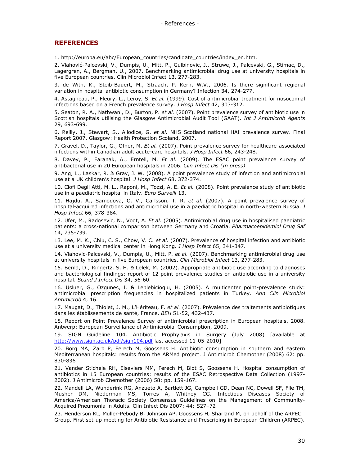#### **REFERENCES**

1. http://europa.eu/abc/European\_countries/candidate\_countries/index\_en.htm.

2. Vlahović-Palcevski, V., Dumpis, U., Mitt, P., Gulbinovic, J., Struwe, J., Palcevski, G., Stimac, D., Lagergren, A., Bergman, U., 2007. Benchmarking antimicrobial drug use at university hospitals in five European countries. Clin Microbiol Infect 13, 277-283.

3. de With, K., Steib-Bauert, M., Straach, P. Kern, W.V., 2006. Is there significant regional variation in hospital antibiotic consumption in Germany? Infection 34, 274-277.

4. Astagneau, P., Fleury, L., Leroy, S. Et al. (1999). Cost of antimicrobial treatment for nosocomial infections based on a French prevalence survey. J Hosp Infect 42, 303-312.

5. Seaton, R. A., Nathwani, D., Burton, P. et al. (2007). Point prevalence survey of antibiotic use in Scottish hospitals utilising the Glasgow Antimicrobial Audit Tool (GAAT). Int J Antimicrob Agents 29, 693-699.

6. Reilly, J., Stewart, S., Allodice, G. et al. NHS Scotland national HAI prevalence survey. Final Report 2007. Glasgow: Health Protection Scoland, 2007.

7. Gravel, D., Taylor, G., Ofner, M. Et al. (2007). Point prevalence survey for healthcare-associated infections within Canadian adult acute-care hospitals. J Hosp Infect 66, 243-248.

8. Davey, P., Faranak, A., Erntell, M. Et al. (2009). The ESAC point prevalence survey of antibacterial use in 20 European hospitals in 2006. Clin Infect Dis (In press)

9. Ang, L., Laskar, R. & Gray, J. W. (2008). A point prevalence study of infection and antimicrobial use at a UK children's hospital. J Hosp Infect 68, 372-374.

10. Ciofi Degli Atti, M. L., Raponi, M., Tozzi, A. E. Et al. (2008). Point prevalence study of antibiotic use in a paediatric hospital in Italy. Euro Surveill 13.

11. Hajdu, A., Samodova, O. V., Carlsson, T. R. et al. (2007). A point prevalence survey of hospital-acquired infections and antimicrobial use in a paediatric hospital in north-western Russia. J Hosp Infect 66, 378-384.

12. Ufer, M., Radosevic, N., Vogt, A. Et al. (2005). Antimicrobial drug use in hospitalised paediatric patients: a cross-national comparison between Germany and Croatia. Pharmacoepidemiol Drug Saf 14, 735-739.

13. Lee, M. K., Chiu, C. S., Chow, V. C. et al. (2007). Prevalence of hospital infection and antibiotic use at a university medical center in Hong Kong. *J Hosp Infect* 65, 341-347.

14. Vlahovic-Palcevski, V., Dumpis, U., Mitt, P. et al. (2007). Benchmarking antimicrobial drug use at university hospitals in five European countries. Clin Microbiol Infect 13, 277-283.

15. Berild, D., Ringertz, S. H. & Lelek, M. (2002). Appropriate antibiotic use according to diagnoses and bacteriological findings: report of 12 point-prevalence studies on antibiotic use in a university hospital. Scand J Infect Dis 34, 56-60.

16. Usluer, G., Ozgunes, I. & Leblebicioglu, H. (2005). A multicenter point-prevalence study: antimicrobial prescription frequencies in hospitalized patients in Turkey. Ann Clin Microbiol Antimicrob 4, 16.

17. Maugat, D., Thiolet, J. M., L'Hériteau, F. et al. (2007). Prévalence des traitements antibiotiques dans les établissements de santé, France. BEH 51-52, 432-437.

18. Report on Point Prevalence Survey of antimicrobial prescription in European hospitals, 2008. Antwerp: European Surveillance of Antimicrobial Consumption, 2009.

19. SIGN Guideline 104. Antibiotic Prophylaxis in Surgery (July 2008) [available at http://www.sign.ac.uk/pdf/sign104.pdf last accessed 11-05-2010]

20. Borg MA, Zarb P, Ferech M, Goossens H. Antibiotic consumption in southern and eastern Mediterranean hospitals: results from the ARMed project. J Antimicrob Chemother (2008) 62: pp. 830-836

21. Vander Stichele RH, Elseviers MM, Ferech M, Blot S, Goossens H. Hospital consumption of antibiotics in 15 European countries: results of the ESAC Retrospective Data Collection (1997- 2002). J Antimicrob Chemother (2006) 58: pp. 159-167.

22. Mandell LA, Wunderink RG, Anzueto A, Bartlett JG, Campbell GD, Dean NC, Dowell SF, File TM, Musher DM, Niederman MS, Torres A, Whitney CG. Infectious Diseases Society of America/American Thoracic Society Consensus Guidelines on the Management of Community-Acquired Pneumonia in Adults. Clin Infect Dis 2007; 44: S27–72

23. Henderson KL, Müller-Pebody B, Johnson AP, Goossens H, Sharland M, on behalf of the ARPEC Group. First set-up meeting for Antibiotic Resistance and Prescribing in European Children (ARPEC).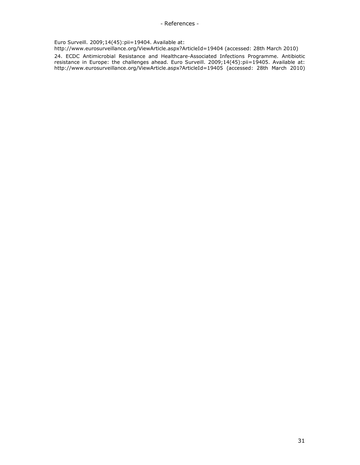Euro Surveill. 2009;14(45):pii=19404. Available at:

http://www.eurosurveillance.org/ViewArticle.aspx?ArticleId=19404 (accessed: 28th March 2010)

24. ECDC Antimicrobial Resistance and Healthcare-Associated Infections Programme. Antibiotic resistance in Europe: the challenges ahead. Euro Surveill. 2009;14(45):pii=19405. Available at: http://www.eurosurveillance.org/ViewArticle.aspx?ArticleId=19405 (accessed: 28th March 2010)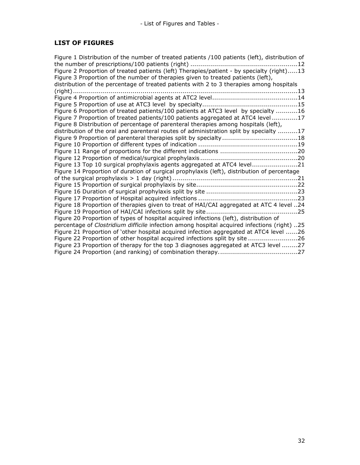# LIST OF FIGURES

| Figure 1 Distribution of the number of treated patients /100 patients (left), distribution of |
|-----------------------------------------------------------------------------------------------|
|                                                                                               |
| Figure 2 Proportion of treated patients (left) Therapies/patient - by specialty (right)13     |
| Figure 3 Proportion of the number of therapies given to treated patients (left),              |
| distribution of the percentage of treated patients with 2 to 3 therapies among hospitals      |
|                                                                                               |
|                                                                                               |
|                                                                                               |
| Figure 6 Proportion of treated patients/100 patients at ATC3 level by specialty 16            |
| Figure 7 Proportion of treated patients/100 patients aggregated at ATC4 level 17              |
| Figure 8 Distribution of percentage of parenteral therapies among hospitals (left),           |
| distribution of the oral and parenteral routes of administration split by specialty 17        |
|                                                                                               |
|                                                                                               |
|                                                                                               |
|                                                                                               |
| Figure 13 Top 10 surgical prophylaxis agents aggregated at ATC4 level21                       |
| Figure 14 Proportion of duration of surgical prophylaxis (left), distribution of percentage   |
|                                                                                               |
|                                                                                               |
|                                                                                               |
|                                                                                               |
| Figure 18 Proportion of therapies given to treat of HAI/CAI aggregated at ATC 4 level 24      |
|                                                                                               |
| Figure 20 Proportion of types of hospital acquired infections (left), distribution of         |
| percentage of Clostridium difficile infection among hospital acquired infections (right) 25   |
| Figure 21 Proportion of 'other hospital acquired infection aggregated at ATC4 level 26        |
| Figure 22 Proportion of other hospital acquired infections split by site 26                   |
| Figure 23 Proportion of therapy for the top 3 diagnoses aggregated at ATC3 level 27           |
|                                                                                               |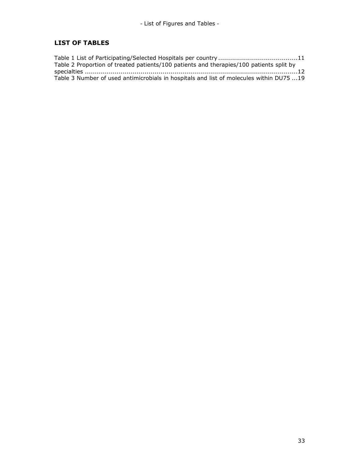# LIST OF TABLES

| Table 2 Proportion of treated patients/100 patients and therapies/100 patients split by |  |
|-----------------------------------------------------------------------------------------|--|
|                                                                                         |  |
| Table 3 Number of used antimicrobials in hospitals and list of molecules within DU75 19 |  |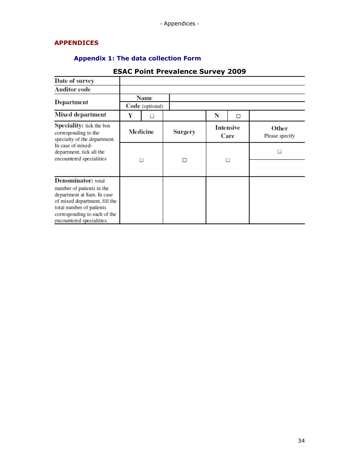# APPENDICES

# Appendix 1: The data collection Form

| Date of survey                                                                                                                                                                    |                 |                 |                |   |                          |                                |
|-----------------------------------------------------------------------------------------------------------------------------------------------------------------------------------|-----------------|-----------------|----------------|---|--------------------------|--------------------------------|
| <b>Auditor code</b>                                                                                                                                                               |                 |                 |                |   |                          |                                |
|                                                                                                                                                                                   |                 | Name            |                |   |                          |                                |
| <b>Department</b>                                                                                                                                                                 |                 | Code (optional) |                |   |                          |                                |
| <b>Mixed department</b>                                                                                                                                                           | Y               |                 |                | N | П                        |                                |
| Speciality: tick the box<br>corresponding to the<br>specialty of the department.<br>In case of mixed-<br>department, tick all the<br>encountered specialities                     | <b>Medicine</b> |                 | <b>Surgery</b> |   | <b>Intensive</b><br>Care | <b>Other</b><br>Please specify |
|                                                                                                                                                                                   | п               |                 | п              | п |                          |                                |
|                                                                                                                                                                                   |                 |                 |                |   |                          |                                |
| <b>Denominator:</b> total                                                                                                                                                         |                 |                 |                |   |                          |                                |
| number of patients in the<br>department at 8am. In case<br>of mixed department, fill the<br>total number of patients<br>corresponding to each of the<br>encountered specialities. |                 |                 |                |   |                          |                                |

# ESAC Point Prevalence Survey 2009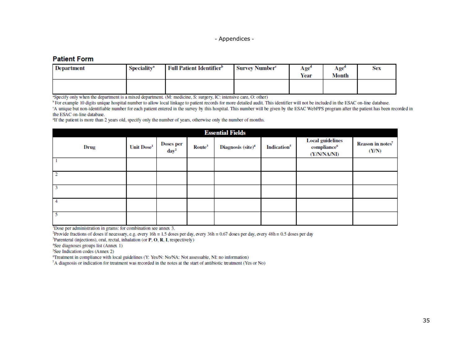## **Patient Form**

| Department | <b>Speciality</b> <sup>a</sup> | <b>Full Patient Identifier<sup>b</sup></b> | <b>Survey Number<sup>c</sup></b> | Age <sup>o</sup><br>Year | $A\mathbf{ge}^{\mathbf{a}}$<br>Month | Sex |
|------------|--------------------------------|--------------------------------------------|----------------------------------|--------------------------|--------------------------------------|-----|
|            |                                |                                            |                                  |                          |                                      |     |

"Specify only when the department is a mixed department. (M: medicine, S: surgery, IC: intensive care, O: other)

<sup>b</sup> For example 10 digits unique hospital number to allow local linkage to patient records for more detailed audit. This identifier will not be included in the ESAC on-line database. 'A unique but non-identifiable number for each patient entered in the survey by this hospital. This number will be given by the ESAC WebPPS program after the patient has been recorded in

the ESAC on-line database.

<sup>a</sup>If the patient is more than 2 years old, specify only the number of years, otherwise only the number of months.

| <b>Essential Fields</b> |                        |                                      |                    |                               |                         |                                                                   |                                       |  |  |
|-------------------------|------------------------|--------------------------------------|--------------------|-------------------------------|-------------------------|-------------------------------------------------------------------|---------------------------------------|--|--|
| Drug                    | Unit Dose <sup>1</sup> | <b>Doses per</b><br>day <sup>2</sup> | Route <sup>3</sup> | Diagnosis (site) <sup>4</sup> | Indication <sup>5</sup> | <b>Local guidelines</b><br>compliance <sup>6</sup><br>(Y/N/NA/NI) | Reason in notes <sup>7</sup><br>(Y/N) |  |  |
|                         |                        |                                      |                    |                               |                         |                                                                   |                                       |  |  |
|                         |                        |                                      |                    |                               |                         |                                                                   |                                       |  |  |
|                         |                        |                                      |                    |                               |                         |                                                                   |                                       |  |  |
|                         |                        |                                      |                    |                               |                         |                                                                   |                                       |  |  |
|                         |                        |                                      |                    |                               |                         |                                                                   |                                       |  |  |

<sup>1</sup>Dose per administration in grams: for combination see annex 3.

<sup>2</sup>Provide fractions of doses if necessary, e.g. every 16h = 1.5 doses per day, every 36h = 0.67 doses per day, every 48h = 0.5 doses per day

<sup>3</sup>Parenteral (injections), oral, rectal, inhalation (or P, O, R, I, respectively)

<sup>4</sup>See diagnoses groups list (Annex 1)

<sup>5</sup>See Indication codes (Annex 2)

<sup>6</sup>Treatment in compliance with local guidelines (Y: Yes/N: No/NA: Not assessable, NI: no information)

<sup>7</sup>A diagnosis or indication for treatment was recorded in the notes at the start of antibiotic treatment (Yes or No)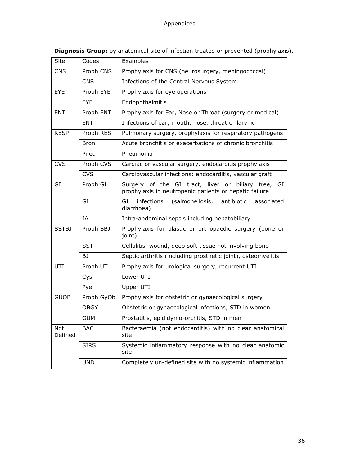| Site           | Codes       | Examples                                                                                                        |  |  |  |  |  |
|----------------|-------------|-----------------------------------------------------------------------------------------------------------------|--|--|--|--|--|
| <b>CNS</b>     | Proph CNS   | Prophylaxis for CNS (neurosurgery, meningococcal)                                                               |  |  |  |  |  |
|                | <b>CNS</b>  | Infections of the Central Nervous System                                                                        |  |  |  |  |  |
| EYE            | Proph EYE   | Prophylaxis for eye operations                                                                                  |  |  |  |  |  |
|                | <b>EYE</b>  | Endophthalmitis                                                                                                 |  |  |  |  |  |
| <b>ENT</b>     | Proph ENT   | Prophylaxis for Ear, Nose or Throat (surgery or medical)                                                        |  |  |  |  |  |
|                | <b>ENT</b>  | Infections of ear, mouth, nose, throat or larynx                                                                |  |  |  |  |  |
| <b>RESP</b>    | Proph RES   | Pulmonary surgery, prophylaxis for respiratory pathogens                                                        |  |  |  |  |  |
|                | <b>Bron</b> | Acute bronchitis or exacerbations of chronic bronchitis                                                         |  |  |  |  |  |
|                | Pneu        | Pneumonia                                                                                                       |  |  |  |  |  |
| <b>CVS</b>     | Proph CVS   | Cardiac or vascular surgery, endocarditis prophylaxis                                                           |  |  |  |  |  |
|                | <b>CVS</b>  | Cardiovascular infections: endocarditis, vascular graft                                                         |  |  |  |  |  |
| GI             | Proph GI    | Surgery of the GI tract, liver or biliary tree,<br>GI<br>prophylaxis in neutropenic patients or hepatic failure |  |  |  |  |  |
|                | GI          | (salmonellosis,<br>GI<br>infections<br>antibiotic<br>associated<br>diarrhoea)                                   |  |  |  |  |  |
|                | IA          | Intra-abdominal sepsis including hepatobiliary                                                                  |  |  |  |  |  |
| <b>SSTBJ</b>   | Proph SBJ   | Prophylaxis for plastic or orthopaedic surgery (bone or<br>joint)                                               |  |  |  |  |  |
|                | <b>SST</b>  | Cellulitis, wound, deep soft tissue not involving bone                                                          |  |  |  |  |  |
|                | BJ          | Septic arthritis (including prosthetic joint), osteomyelitis                                                    |  |  |  |  |  |
| UTI            | Proph UT    | Prophylaxis for urological surgery, recurrent UTI                                                               |  |  |  |  |  |
|                | Cys         | Lower UTI                                                                                                       |  |  |  |  |  |
|                | Pye         | Upper UTI                                                                                                       |  |  |  |  |  |
| <b>GUOB</b>    | Proph GyOb  | Prophylaxis for obstetric or gynaecological surgery                                                             |  |  |  |  |  |
|                | <b>OBGY</b> | Obstetric or gynaecological infections, STD in women                                                            |  |  |  |  |  |
|                | <b>GUM</b>  | Prostatitis, epididymo-orchitis, STD in men                                                                     |  |  |  |  |  |
| Not<br>Defined | <b>BAC</b>  | Bacteraemia (not endocarditis) with no clear anatomical<br>site                                                 |  |  |  |  |  |
|                | <b>SIRS</b> | Systemic inflammatory response with no clear anatomic<br>site                                                   |  |  |  |  |  |
|                | <b>UND</b>  | Completely un-defined site with no systemic inflammation                                                        |  |  |  |  |  |
|                |             |                                                                                                                 |  |  |  |  |  |

Diagnosis Group: by anatomical site of infection treated or prevented (prophylaxis).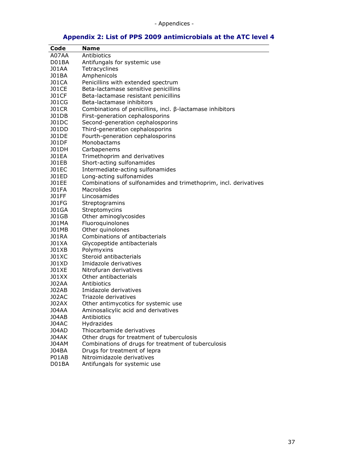# Appendix 2: List of PPS 2009 antimicrobials at the ATC level 4

| Code              | Name                                                             |
|-------------------|------------------------------------------------------------------|
| A07AA             | Antibiotics                                                      |
| D01BA             | Antifungals for systemic use                                     |
| J01AA             | Tetracyclines                                                    |
| J01BA             | Amphenicols                                                      |
| <b>J01CA</b>      | Penicillins with extended spectrum                               |
| <b>J01CE</b>      | Beta-lactamase sensitive penicillins                             |
| <b>J01CF</b>      | Beta-lactamase resistant penicillins                             |
| <b>J01CG</b>      | Beta-lactamase inhibitors                                        |
| <b>J01CR</b>      | Combinations of penicillins, incl. $\beta$ -lactamase inhibitors |
| J01DB             | First-generation cephalosporins                                  |
|                   | Second-generation cephalosporins                                 |
| J01DC             |                                                                  |
| J01DD             | Third-generation cephalosporins                                  |
| J01DE             | Fourth-generation cephalosporins                                 |
| <b>J01DF</b>      | Monobactams                                                      |
| J01DH             | Carbapenems                                                      |
| <b>JO1EA</b>      | Trimethoprim and derivatives                                     |
| J01EB             | Short-acting sulfonamides                                        |
| <b>J01EC</b>      | Intermediate-acting sulfonamides                                 |
| J01ED             | Long-acting sulfonamides                                         |
| <b>JO1EE</b>      | Combinations of sulfonamides and trimethoprim, incl. derivatives |
| <b>JO1FA</b>      | Macrolides                                                       |
| <b>JO1FF</b>      | Lincosamides                                                     |
| <b>J01FG</b>      | Streptogramins                                                   |
| <b>J01GA</b>      | Streptomycins                                                    |
| <b>J01GB</b>      | Other aminoglycosides                                            |
| <b>J01MA</b>      | Fluoroquinolones                                                 |
| <b>J01MB</b>      | Other quinolones                                                 |
| J01RA             | Combinations of antibacterials                                   |
| J01XA             | Glycopeptide antibacterials                                      |
| J01XB             | Polymyxins                                                       |
| J01XC             | Steroid antibacterials                                           |
| J01 <sub>xD</sub> | Imidazole derivatives                                            |
| <b>J01XE</b>      | Nitrofuran derivatives                                           |
| J01XX             | Other antibacterials                                             |
| <b>J02AA</b>      | Antibiotics                                                      |
| J02AB             | Imidazole derivatives                                            |
| J02AC             | Triazole derivatives                                             |
| J02AX             | Other antimycotics for systemic use                              |
| <b>J04AA</b>      | Aminosalicylic acid and derivatives                              |
| J04AB             | Antibiotics                                                      |
| <b>J04AC</b>      | Hydrazides                                                       |
| <b>J04AD</b>      | Thiocarbamide derivatives                                        |
| <b>J04AK</b>      | Other drugs for treatment of tuberculosis                        |
| <b>J04AM</b>      | Combinations of drugs for treatment of tuberculosis              |
| J04BA             |                                                                  |
| P01AB             | Drugs for treatment of lepra                                     |
|                   | Nitroimidazole derivatives                                       |
| D01BA             | Antifungals for systemic use                                     |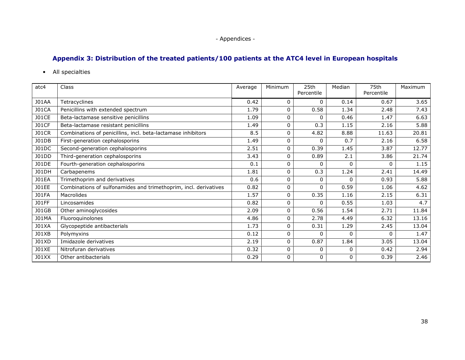# Appendix 3: Distribution of the treated patients/100 patients at the ATC4 level in European hospitals

• All specialties

| atc4         | Class                                                            | Average | Minimum  | 25th<br>Percentile | Median       | 75th<br>Percentile | Maximum |
|--------------|------------------------------------------------------------------|---------|----------|--------------------|--------------|--------------------|---------|
| <b>J01AA</b> | Tetracyclines                                                    | 0.42    | 0        | 0                  | 0.14         | 0.67               | 3.65    |
| <b>J01CA</b> | Penicillins with extended spectrum                               | 1.79    | $\Omega$ | 0.58               | 1.34         | 2.48               | 7.43    |
| <b>J01CE</b> | Beta-lactamase sensitive penicillins                             | 1.09    | 0        | 0                  | 0.46         | 1.47               | 6.63    |
| <b>J01CF</b> | Beta-lactamase resistant penicillins                             | 1.49    | 0        | 0.3                | 1.15         | 2.16               | 5.88    |
| <b>J01CR</b> | Combinations of penicillins, incl. beta-lactamase inhibitors     | 8.5     | $\Omega$ | 4.82               | 8.88         | 11.63              | 20.81   |
| J01DB        | First-generation cephalosporins                                  | 1.49    | 0        | 0                  | 0.7          | 2.16               | 6.58    |
| J01DC        | Second-generation cephalosporins                                 | 2.51    | 0        | 0.39               | 1.45         | 3.87               | 12.77   |
| J01DD        | Third-generation cephalosporins                                  | 3.43    | 0        | 0.89               | 2.1          | 3.86               | 21.74   |
| J01DE        | Fourth-generation cephalosporins                                 | 0.1     | $\Omega$ | $\Omega$           | 0            | $\Omega$           | 1.15    |
| <b>J01DH</b> | Carbapenems                                                      | 1.81    | $\Omega$ | 0.3                | 1.24         | 2.41               | 14.49   |
| <b>JO1EA</b> | Trimethoprim and derivatives                                     | 0.6     | 0        | $\mathbf{0}$       | $\Omega$     | 0.93               | 5.88    |
| J01EE        | Combinations of sulfonamides and trimethoprim, incl. derivatives | 0.82    | 0        | $\mathbf 0$        | 0.59         | 1.06               | 4.62    |
| <b>JO1FA</b> | Macrolides                                                       | 1.57    | 0        | 0.35               | 1.16         | 2.15               | 6.31    |
| <b>JO1FF</b> | Lincosamides                                                     | 0.82    | 0        | 0                  | 0.55         | 1.03               | 4.7     |
| <b>J01GB</b> | Other aminoglycosides                                            | 2.09    | 0        | 0.56               | 1.54         | 2.71               | 11.84   |
| <b>J01MA</b> | Fluoroquinolones                                                 | 4.86    | 0        | 2.78               | 4.49         | 6.32               | 13.16   |
| J01XA        | Glycopeptide antibacterials                                      | 1.73    | 0        | 0.31               | 1.29         | 2.45               | 13.04   |
| J01XB        | Polymyxins                                                       | 0.12    | 0        | $\Omega$           | $\Omega$     | 0                  | 1.47    |
| J01XD        | Imidazole derivatives                                            | 2.19    | $\Omega$ | 0.87               | 1.84         | 3.05               | 13.04   |
| <b>J01XE</b> | Nitrofuran derivatives                                           | 0.32    | 0        | 0                  | $\mathbf{0}$ | 0.42               | 2.94    |
| J01XX        | Other antibacterials                                             | 0.29    | 0        | 0                  | 0            | 0.39               | 2.46    |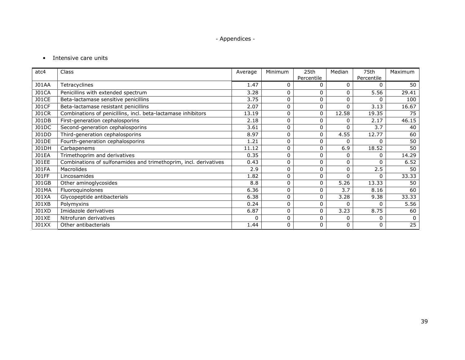# • Intensive care units

| atc4         | Class                                                            | Average  | Minimum     | 25th       | Median   | 75th       | Maximum |
|--------------|------------------------------------------------------------------|----------|-------------|------------|----------|------------|---------|
|              |                                                                  |          |             | Percentile |          | Percentile |         |
| <b>J01AA</b> | Tetracyclines                                                    | 1.47     | $\Omega$    | 0          | 0        | 0          | 50      |
| <b>J01CA</b> | Penicillins with extended spectrum                               | 3.28     | 0           | 0          | 0        | 5.56       | 29.41   |
| <b>JO1CE</b> | Beta-lactamase sensitive penicillins                             | 3.75     | 0           | 0          | 0        | $\Omega$   | 100     |
| <b>J01CF</b> | Beta-lactamase resistant penicillins                             | 2.07     | $\mathbf 0$ | 0          | 0        | 3.13       | 16.67   |
| <b>J01CR</b> | Combinations of penicillins, incl. beta-lactamase inhibitors     | 13.19    | 0           | 0          | 12.58    | 19.35      | 75      |
| J01DB        | First-generation cephalosporins                                  | 2.18     | 0           | 0          | 0        | 2.17       | 46.15   |
| J01DC        | Second-generation cephalosporins                                 | 3.61     | 0           | 0          | 0        | 3.7        | 40      |
| J01DD        | Third-generation cephalosporins                                  | 8.97     | $\Omega$    | 0          | 4.55     | 12.77      | 60      |
| J01DE        | Fourth-generation cephalosporins                                 | 1.21     | $\mathbf 0$ | 0          | 0        | $\Omega$   | 50      |
| <b>J01DH</b> | Carbapenems                                                      | 11.12    | 0           | 0          | 6.9      | 18.52      | 50      |
| <b>JO1EA</b> | Trimethoprim and derivatives                                     | 0.35     | 0           | 0          | 0        | 0          | 14.29   |
| J01EE        | Combinations of sulfonamides and trimethoprim, incl. derivatives | 0.43     | 0           | 0          | 0        | $\Omega$   | 6.52    |
| <b>JO1FA</b> | <b>Macrolides</b>                                                | 2.9      | $\Omega$    | 0          | 0        | 2.5        | 50      |
| <b>JO1FF</b> | Lincosamides                                                     | 1.82     | 0           | 0          | $\Omega$ | $\Omega$   | 33.33   |
| <b>J01GB</b> | Other aminoglycosides                                            | 8.8      | 0           | 0          | 5.26     | 13.33      | 50      |
| <b>J01MA</b> | Fluoroquinolones                                                 | 6.36     | $\Omega$    | 0          | 3.7      | 8.16       | 60      |
| <b>J01XA</b> | Glycopeptide antibacterials                                      | 6.38     | 0           | 0          | 3.28     | 9.38       | 33.33   |
| J01XB        | Polymyxins                                                       | 0.24     | 0           | 0          | $\Omega$ | 0          | 5.56    |
| <b>J01XD</b> | Imidazole derivatives                                            | 6.87     | $\Omega$    | 0          | 3.23     | 8.75       | 60      |
| <b>J01XE</b> | Nitrofuran derivatives                                           | $\Omega$ | 0           | 0          | 0        | 0          |         |
| J01XX        | Other antibacterials                                             | 1.44     | 0           | 0          | 0        | 0          | 25      |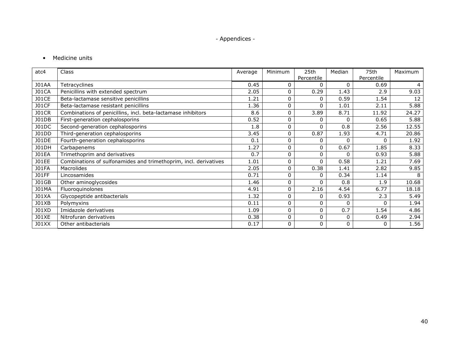# • Medicine units

| atc4         | Class                                                            | Average | Minimum  | 25th       | Median       | 75th       | Maximum |
|--------------|------------------------------------------------------------------|---------|----------|------------|--------------|------------|---------|
|              |                                                                  |         |          | Percentile |              | Percentile |         |
| <b>J01AA</b> | Tetracyclines                                                    | 0.45    | $\Omega$ | 0          | $\Omega$     | 0.69       | 4       |
| <b>J01CA</b> | Penicillins with extended spectrum                               | 2.05    | $\Omega$ | 0.29       | 1.43         | 2.9        | 9.03    |
| <b>J01CE</b> | Beta-lactamase sensitive penicillins                             | 1.21    | 0        | 0          | 0.59         | 1.54       | 12      |
| <b>J01CF</b> | Beta-lactamase resistant penicillins                             | 1.36    | 0        | $\Omega$   | 1.01         | 2.11       | 5.88    |
| <b>J01CR</b> | Combinations of penicillins, incl. beta-lactamase inhibitors     | 8.6     | $\Omega$ | 3.89       | 8.71         | 11.92      | 24.27   |
| J01DB        | First-generation cephalosporins                                  | 0.52    | $\Omega$ | 0          | 0            | 0.65       | 5.88    |
| J01DC        | Second-generation cephalosporins                                 | 1.8     | 0        | 0          | 0.8          | 2.56       | 12.55   |
| J01DD        | Third-generation cephalosporins                                  | 3.45    | $\Omega$ | 0.87       | 1.93         | 4.71       | 20.86   |
| J01DE        | Fourth-generation cephalosporins                                 | 0.1     | $\Omega$ | 0          | $\mathbf{0}$ | 0          | 1.92    |
| <b>J01DH</b> | Carbapenems                                                      | 1.27    | $\Omega$ | 0          | 0.67         | 1.85       | 8.33    |
| <b>JO1EA</b> | Trimethoprim and derivatives                                     | 0.7     | $\Omega$ | 0          | 0            | 0.93       | 5.88    |
| <b>JO1EE</b> | Combinations of sulfonamides and trimethoprim, incl. derivatives | 1.01    | 0        | $\Omega$   | 0.58         | 1.21       | 7.69    |
| <b>JO1FA</b> | Macrolides                                                       | 2.05    | $\Omega$ | 0.38       | 1.41         | 2.82       | 9.85    |
| <b>JO1FF</b> | Lincosamides                                                     | 0.71    | $\Omega$ | 0          | 0.34         | 1.14       | 8       |
| <b>J01GB</b> | Other aminoglycosides                                            | 1.46    | $\Omega$ | 0          | 0.8          | 1.9        | 10.68   |
| J01MA        | Fluoroquinolones                                                 | 4.91    | $\Omega$ | 2.16       | 4.54         | 6.77       | 18.18   |
| <b>J01XA</b> | Glycopeptide antibacterials                                      | 1.32    | 0        | 0          | 0.93         | 2.3        | 5.49    |
| J01XB        | Polymyxins                                                       | 0.11    | $\Omega$ | 0          | $\Omega$     | 0          | 1.94    |
| J01XD        | Imidazole derivatives                                            | 1.09    | $\Omega$ | 0          | 0.7          | 1.54       | 4.86    |
| <b>J01XE</b> | Nitrofuran derivatives                                           | 0.38    | 0        | $\Omega$   | 0            | 0.49       | 2.94    |
| J01XX        | Other antibacterials                                             | 0.17    | $\Omega$ | 0          | 0            | 0          | 1.56    |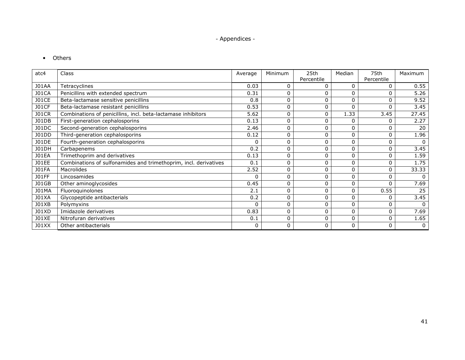• Others

| atc4         | Class                                                            | Average  | Minimum     | 25th         | Median       | 75th       | Maximum  |
|--------------|------------------------------------------------------------------|----------|-------------|--------------|--------------|------------|----------|
|              |                                                                  |          |             | Percentile   |              | Percentile |          |
| <b>J01AA</b> | Tetracyclines                                                    | 0.03     | 0           | 0            | 0            | 0          | 0.55     |
| <b>J01CA</b> | Penicillins with extended spectrum                               | 0.31     | 0           |              | $\Omega$     | $\Omega$   | 5.26     |
| <b>JO1CE</b> | Beta-lactamase sensitive penicillins                             | 0.8      | 0           | 0            | $\mathbf 0$  | 0          | 9.52     |
| <b>J01CF</b> | Beta-lactamase resistant penicillins                             | 0.53     | 0           | 0            | $\mathbf 0$  | 0          | 3.45     |
| <b>J01CR</b> | Combinations of penicillins, incl. beta-lactamase inhibitors     | 5.62     | 0           | 0            | 1.33         | 3.45       | 27.45    |
| J01DB        | First-generation cephalosporins                                  | 0.13     | 0           | 0            | 0            | 0          | 2.27     |
| J01DC        | Second-generation cephalosporins                                 | 2.46     | 0           | 0            | 0            | $\Omega$   | 20       |
| <b>J01DD</b> | Third-generation cephalosporins                                  | 0.12     | 0           | 0            | $\mathbf 0$  | 0          | 1.96     |
| <b>J01DE</b> | Fourth-generation cephalosporins                                 | 0        | 0           | 0            | $\mathbf 0$  | 0          | $\Omega$ |
| <b>J01DH</b> | Carbapenems                                                      | 0.2      | 0           | $\mathbf{0}$ | $\mathbf 0$  | 0          | 3.45     |
| <b>JO1EA</b> | Trimethoprim and derivatives                                     | 0.13     | 0           | $\mathbf 0$  | $\mathbf 0$  | 0          | 1.59     |
| <b>JO1EE</b> | Combinations of sulfonamides and trimethoprim, incl. derivatives | 0.1      | 0           | 0            | 0            | 0          | 1.75     |
| <b>JO1FA</b> | Macrolides                                                       | 2.52     | 0           | 0            | $\mathbf 0$  | 0          | 33.33    |
| <b>JO1FF</b> | Lincosamides                                                     | $\Omega$ | 0           | 0            | $\mathbf 0$  | $\Omega$   |          |
| <b>J01GB</b> | Other aminoglycosides                                            | 0.45     | 0           | 0            | $\mathbf 0$  | $\Omega$   | 7.69     |
| <b>J01MA</b> | Fluoroquinolones                                                 | 2.1      | 0           | 0            | $\mathbf{0}$ | 0.55       | 25       |
| <b>J01XA</b> | Glycopeptide antibacterials                                      | 0.2      | $\mathbf 0$ | 0            | 0            | 0          | 3.45     |
| J01XB        | Polymyxins                                                       | 0        | 0           | 0            | $\mathbf 0$  | 0          | $\Omega$ |
| <b>J01XD</b> | Imidazole derivatives                                            | 0.83     | 0           | 0            | $\mathbf 0$  | 0          | 7.69     |
| <b>J01XE</b> | Nitrofuran derivatives                                           | 0.1      | 0           | 0            | $\mathbf 0$  | 0          | 1.65     |
| J01XX        | Other antibacterials                                             | 0        | 0           | 0            | $\mathbf{0}$ | 0          | 0        |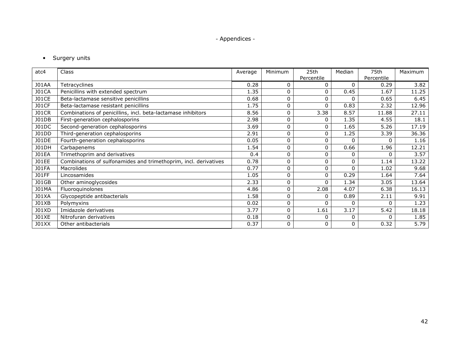# • Surgery units

| atc4         | <b>Class</b>                                                     | Average | Minimum     | 25th         | Median   | 75th       | Maximum |
|--------------|------------------------------------------------------------------|---------|-------------|--------------|----------|------------|---------|
|              |                                                                  |         |             | Percentile   |          | Percentile |         |
| <b>J01AA</b> | Tetracyclines                                                    | 0.28    | 0           | 0            | 0        | 0.29       | 3.82    |
| <b>J01CA</b> | Penicillins with extended spectrum                               | 1.35    | 0           | 0            | 0.45     | 1.67       | 11.25   |
| <b>JO1CE</b> | Beta-lactamase sensitive penicillins                             | 0.68    | 0           | 0            | 0        | 0.65       | 6.45    |
| <b>JO1CF</b> | Beta-lactamase resistant penicillins                             | 1.75    | 0           | $\Omega$     | 0.83     | 2.32       | 12.96   |
| <b>J01CR</b> | Combinations of penicillins, incl. beta-lactamase inhibitors     | 8.56    | 0           | 3.38         | 8.57     | 11.88      | 27.11   |
| J01DB        | First-generation cephalosporins                                  | 2.98    | $\mathbf 0$ | 0            | 1.35     | 4.55       | 18.1    |
| <b>J01DC</b> | Second-generation cephalosporins                                 | 3.69    | 0           | 0            | 1.65     | 5.26       | 17.19   |
| J01DD        | Third-generation cephalosporins                                  | 2.91    | 0           | 0            | 1.25     | 3.39       | 36.36   |
| <b>J01DE</b> | Fourth-generation cephalosporins                                 | 0.05    | $\mathbf 0$ | 0            | 0        | 0          | 1.16    |
| <b>J01DH</b> | Carbapenems                                                      | 1.54    | 0           | 0            | 0.66     | 1.96       | 12.21   |
| <b>JO1EA</b> | Trimethoprim and derivatives                                     | 0.4     | $\mathbf 0$ | 0            | 0        | 0          | 3.57    |
| <b>JO1EE</b> | Combinations of sulfonamides and trimethoprim, incl. derivatives | 0.78    | 0           | $\Omega$     | 0        | 1.14       | 13.22   |
| <b>JO1FA</b> | Macrolides                                                       | 0.77    | 0           | 0            | 0        | 1.02       | 9.68    |
| <b>JO1FF</b> | Lincosamides                                                     | 1.05    | $\mathbf 0$ | 0            | 0.29     | 1.64       | 7.64    |
| <b>J01GB</b> | Other aminoglycosides                                            | 2.33    | $\mathbf 0$ | $\Omega$     | 1.34     | 3.05       | 13.64   |
| <b>J01MA</b> | Fluoroquinolones                                                 | 4.86    | 0           | 2.08         | 4.07     | 6.38       | 16.13   |
| <b>J01XA</b> | Glycopeptide antibacterials                                      | 1.58    | 0           | 0            | 0.89     | 2.11       | 9.91    |
| J01XB        | Polymyxins                                                       | 0.02    | 0           | $\Omega$     | 0        | 0          | 1.23    |
| <b>J01XD</b> | Imidazole derivatives                                            | 3.77    | $\mathbf 0$ | 1.61         | 3.17     | 5.42       | 18.18   |
| <b>J01XE</b> | Nitrofuran derivatives                                           | 0.18    | 0           | <sup>0</sup> | 0        | O          | 1.85    |
| J01XX        | Other antibacterials                                             | 0.37    | $\mathbf 0$ | 0            | $\Omega$ | 0.32       | 5.79    |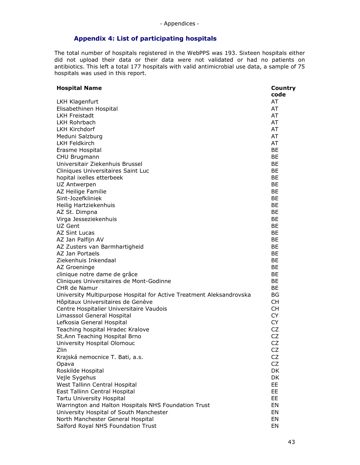# Appendix 4: List of participating hospitals

The total number of hospitals registered in the WebPPS was 193. Sixteen hospitals either did not upload their data or their data were not validated or had no patients on antibiotics. This left a total 177 hospitals with valid antimicrobial use data, a sample of 75 hospitals was used in this report.

| <b>Hospital Name</b>                                                 | Country   |
|----------------------------------------------------------------------|-----------|
|                                                                      | code      |
| LKH Klagenfurt                                                       | AT        |
| Elisabethinen Hospital                                               | AT        |
| <b>LKH Freistadt</b>                                                 | AT        |
| <b>LKH Rohrbach</b>                                                  | AT        |
| <b>LKH Kirchdorf</b>                                                 | AT        |
| Meduni Salzburg                                                      | AT        |
| <b>LKH Feldkirch</b>                                                 | AT        |
| Erasme Hospital                                                      | <b>BE</b> |
| CHU Brugmann                                                         | BE        |
| Universitair Ziekenhuis Brussel                                      | BE        |
| Cliniques Universitaires Saint Luc                                   | BE        |
| hopital ixelles etterbeek                                            | <b>BE</b> |
| UZ Antwerpen                                                         | BE        |
| AZ Heilige Familie                                                   | <b>BE</b> |
| Sint-Jozefkliniek                                                    | BE        |
| Heilig Hartziekenhuis                                                | BE        |
| AZ St. Dimpna                                                        | <b>BE</b> |
| Virga Jesseziekenhuis                                                | <b>BE</b> |
| UZ Gent                                                              | <b>BE</b> |
| AZ Sint Lucas                                                        | BE        |
| AZ Jan Palfijn AV                                                    | BE        |
| AZ Zusters van Barmhartigheid                                        | BE        |
| AZ Jan Portaels                                                      | BE        |
| Ziekenhuis Inkendaal                                                 | <b>BE</b> |
| AZ Groeninge                                                         | BE        |
| clinique notre dame de grâce                                         | BE        |
| Cliniques Universitaires de Mont-Godinne                             | BE        |
| CHR de Namur                                                         | BE        |
| University Multipurpose Hospital for Active Treatment Aleksandrovska | <b>BG</b> |
| Hôpitaux Universitaires de Genève                                    | <b>CH</b> |
| Centre Hospitalier Universitaire Vaudois                             | <b>CH</b> |
| Limasssol General Hospital                                           | <b>CY</b> |
| Lefkosia General Hospital                                            | <b>CY</b> |
| Teaching hospital Hradec Kralove                                     | <b>CZ</b> |
| St.Ann Teaching Hospital Brno                                        | <b>CZ</b> |
| University Hospital Olomouc                                          | <b>CZ</b> |
| Zlin                                                                 | CZ        |
| Krajská nemocnice T. Bati, a.s.                                      | CZ        |
| Opava                                                                | <b>CZ</b> |
| Roskilde Hospital                                                    | DK        |
| Vejle Sygehus                                                        | DK        |
| West Tallinn Central Hospital                                        | EE        |
| East Tallinn Central Hospital                                        | EE        |
| Tartu University Hospital                                            | EE        |
| Warrington and Halton Hospitals NHS Foundation Trust                 | EN        |
| University Hospital of South Manchester                              | EN        |
| North Manchester General Hospital                                    | EN        |
| Salford Royal NHS Foundation Trust                                   | EN        |
|                                                                      |           |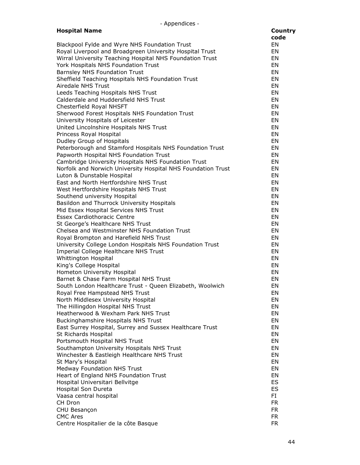| - Appendices -                                                                   |           |
|----------------------------------------------------------------------------------|-----------|
| <b>Hospital Name</b>                                                             | Country   |
|                                                                                  | code      |
| Blackpool Fylde and Wyre NHS Foundation Trust                                    | EN        |
| Royal Liverpool and Broadgreen University Hospital Trust                         | EN        |
| Wirral University Teaching Hospital NHS Foundation Trust                         | EN        |
| York Hospitals NHS Foundation Trust                                              | EN        |
| <b>Barnsley NHS Foundation Trust</b>                                             | EN        |
| Sheffield Teaching Hospitals NHS Foundation Trust                                | EN        |
| Airedale NHS Trust                                                               | EN        |
| Leeds Teaching Hospitals NHS Trust                                               | EN        |
| Calderdale and Huddersfield NHS Trust                                            | EN        |
| Chesterfield Royal NHSFT                                                         | EN        |
| Sherwood Forest Hospitals NHS Foundation Trust                                   | EN        |
| University Hospitals of Leicester                                                | EN        |
| United Lincolnshire Hospitals NHS Trust                                          | EN        |
| Princess Royal Hospital                                                          | EN        |
| Dudley Group of Hospitals                                                        | EN        |
| Peterborough and Stamford Hospitals NHS Foundation Trust                         | EN        |
| Papworth Hospital NHS Foundation Trust                                           | <b>EN</b> |
| Cambridge University Hospitals NHS Foundation Trust                              | EN        |
| Norfolk and Norwich University Hospital NHS Foundation Trust                     | EN        |
| Luton & Dunstable Hospital                                                       | EN        |
| East and North Hertfordshire NHS Trust                                           | EN        |
| West Hertfordshire Hospitals NHS Trust                                           | EN        |
| Southend university Hospital                                                     | EN        |
| Basildon and Thurrock University Hospitals                                       | EN        |
| Mid Essex Hospital Services NHS Trust                                            | EN        |
| <b>Essex Cardiothoracic Centre</b>                                               | EN        |
| St George's Healthcare NHS Trust                                                 | EN        |
| Chelsea and Westminster NHS Foundation Trust                                     | EN        |
| Royal Brompton and Harefield NHS Trust                                           | EN        |
| University College London Hospitals NHS Foundation Trust                         | EN        |
| Imperial College Healthcare NHS Trust                                            | EN        |
| Whittington Hospital                                                             | EN        |
| King's College Hospital                                                          | EN        |
| Hometon University Hospital                                                      | EN        |
| Barnet & Chase Farm Hospital NHS Trust                                           | EN        |
| South London Healthcare Trust - Queen Elizabeth, Woolwich                        | EN        |
| Royal Free Hampstead NHS Trust                                                   | EN        |
| North Middlesex University Hospital                                              | EN        |
| The Hillingdon Hospital NHS Trust<br>Heatherwood & Wexham Park NHS Trust         | EN<br>EN  |
|                                                                                  | EN        |
| Buckinghamshire Hospitals NHS Trust                                              | EN        |
| East Surrey Hospital, Surrey and Sussex Healthcare Trust<br>St Richards Hospital | EN        |
| Portsmouth Hospital NHS Trust                                                    | EN        |
| Southampton University Hospitals NHS Trust                                       | EN        |
| Winchester & Eastleigh Healthcare NHS Trust                                      | EN        |
| St Mary's Hospital                                                               | EN        |
| <b>Medway Foundation NHS Trust</b>                                               | EN        |
| Heart of England NHS Foundation Trust                                            | EN        |
| Hospital Universitari Bellvitge                                                  | ES        |
| Hospital Son Dureta                                                              | ES        |
| Vaasa central hospital                                                           | FI        |
| CH Dron                                                                          | <b>FR</b> |
| CHU Besançon                                                                     | <b>FR</b> |
| <b>CMC Ares</b>                                                                  | <b>FR</b> |
| Centre Hospitalier de la côte Basque                                             | <b>FR</b> |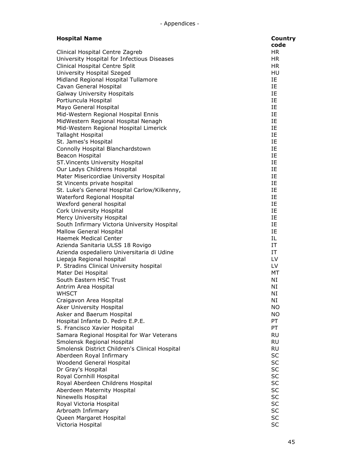| <b>Hospital Name</b>                           | <b>Country</b> |
|------------------------------------------------|----------------|
|                                                | code           |
| Clinical Hospital Centre Zagreb                | <b>HR</b>      |
| University Hospital for Infectious Diseases    | HR.            |
| Clinical Hospital Centre Split                 | HR.            |
| University Hospital Szeged                     | HU             |
| Midland Regional Hospital Tullamore            | IE             |
| Cavan General Hospital                         | IE             |
| Galway University Hospitals                    | IE             |
| Portiuncula Hospital                           | IE             |
|                                                |                |
| Mayo General Hospital                          | IE             |
| Mid-Western Regional Hospital Ennis            | IE             |
| MidWestern Regional Hospital Nenagh            | IE             |
| Mid-Western Regional Hospital Limerick         | IE             |
| Tallaght Hospital                              | IE             |
| St. James's Hospital                           | IE             |
| Connolly Hospital Blanchardstown               | IE.            |
| Beacon Hospital                                | IE             |
| ST. Vincents University Hospital               | IE             |
| Our Ladys Childrens Hospital                   | IE             |
| Mater Misericordiae University Hospital        | IE             |
| St Vincents private hospital                   | IE             |
| St. Luke's General Hospital Carlow/Kilkenny,   | IE             |
| Waterford Regional Hospital                    | IE             |
| Wexford general hospital                       | IE             |
| Cork University Hospital                       | IE             |
| Mercy University Hospital                      | IE             |
| South Infirmary Victoria University Hospital   | IE             |
| <b>Mallow General Hospital</b>                 | IE             |
| <b>Haemek Medical Center</b>                   | IL             |
| Azienda Sanitaria ULSS 18 Rovigo               | IT             |
| Azienda ospedaliero Universitaria di Udine     | IT             |
| Liepaja Regional hospital                      | LV             |
| P. Stradins Clinical University hospital       | LV             |
| Mater Dei Hospital                             | МT             |
| South Eastern HSC Trust                        | NI             |
| Antrim Area Hospital                           | ΝI             |
| <b>WHSCT</b>                                   | ΝI             |
| Craigavon Area Hospital                        | ΝI             |
| Aker University Hospital                       | ΝO             |
| Asker and Baerum Hospital                      | <b>NO</b>      |
| Hospital Infante D. Pedro E.P.E.               | PT             |
| S. Francisco Xavier Hospital                   | PT             |
| Samara Regional Hospital for War Veterans      | <b>RU</b>      |
| Smolensk Regional Hospital                     | <b>RU</b>      |
| Smolensk District Children's Clinical Hospital | <b>RU</b>      |
| Aberdeen Royal Infirmary                       | <b>SC</b>      |
| Woodend General Hospital                       | <b>SC</b>      |
| Dr Gray's Hospital                             | <b>SC</b>      |
|                                                | <b>SC</b>      |
| Royal Cornhill Hospital                        | <b>SC</b>      |
| Royal Aberdeen Childrens Hospital              | <b>SC</b>      |
| Aberdeen Maternity Hospital                    |                |
| Ninewells Hospital                             | <b>SC</b>      |
| Royal Victoria Hospital                        | <b>SC</b>      |
| Arbroath Infirmary                             | <b>SC</b>      |
| Queen Margaret Hospital                        | <b>SC</b>      |
| Victoria Hospital                              | <b>SC</b>      |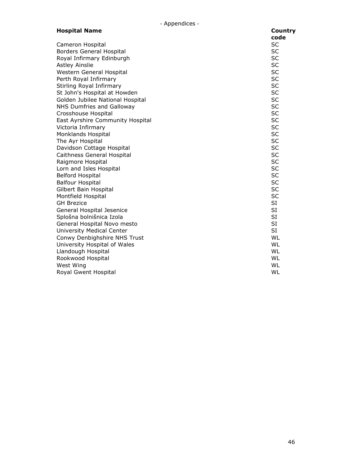| <b>Hospital Name</b>             | <b>Country</b> |
|----------------------------------|----------------|
|                                  | code           |
| Cameron Hospital                 | <b>SC</b>      |
| <b>Borders General Hospital</b>  | <b>SC</b>      |
| Royal Infirmary Edinburgh        | <b>SC</b>      |
| <b>Astley Ainslie</b>            | <b>SC</b>      |
| Western General Hospital         | <b>SC</b>      |
| Perth Royal Infirmary            | <b>SC</b>      |
| Stirling Royal Infirmary         | <b>SC</b>      |
| St John's Hospital at Howden     | <b>SC</b>      |
| Golden Jubilee National Hospital | <b>SC</b>      |
| NHS Dumfries and Galloway        | <b>SC</b>      |
| Crosshouse Hospital              | <b>SC</b>      |
| East Ayrshire Community Hospital | <b>SC</b>      |
| Victoria Infirmary               | <b>SC</b>      |
| Monklands Hospital               | <b>SC</b>      |
| The Ayr Hospital                 | <b>SC</b>      |
| Davidson Cottage Hospital        | <b>SC</b>      |
| Caithness General Hospital       | <b>SC</b>      |
| Raigmore Hospital                | <b>SC</b>      |
| Lorn and Isles Hospital          | <b>SC</b>      |
| <b>Belford Hospital</b>          | <b>SC</b>      |
| <b>Balfour Hospital</b>          | <b>SC</b>      |
| Gilbert Bain Hospital            | <b>SC</b>      |
| Montfield Hospital               | <b>SC</b>      |
| <b>GH Brezice</b>                | <b>SI</b>      |
| General Hospital Jesenice        | <b>SI</b>      |
| Splošna bolnišnica Izola         | SI             |
| General Hospital Novo mesto      | <b>SI</b>      |
| University Medical Center        | <b>SI</b>      |
| Conwy Denbighshire NHS Trust     | WL             |
| University Hospital of Wales     | <b>WL</b>      |
| Llandough Hospital               | WL             |
| Rookwood Hospital                | WL             |
| West Wing                        | WL             |
| Royal Gwent Hospital             | WL             |